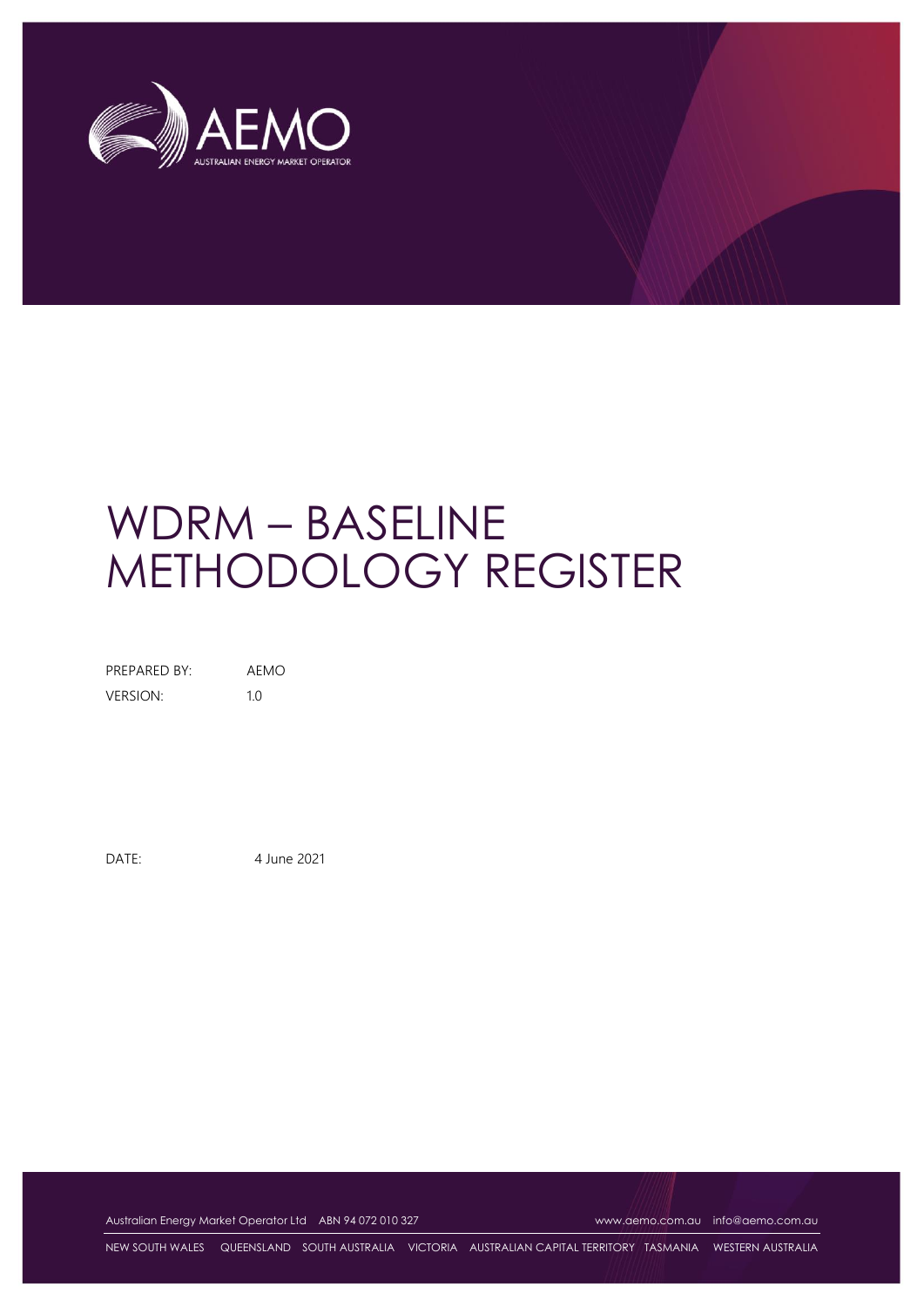

# WDRM – BASELINE METHODOLOGY REGISTER

PREPARED BY: AEMO VERSION: 1.0

DATE: 4 June 2021

Australian Energy Market Operator Ltd ABN 94 072 010 327 [www.aemo.com.au](http://www.aemo.com.au/) [info@aemo.com.au](mailto:info@aemo.com.au) info@aemo.com.au

NEW SOUTH WALES QUEENSLAND SOUTH AUSTRALIA VICTORIA AUSTRALIAN CAPITAL TERRITORY TASMANIA WESTERN AUSTRALIA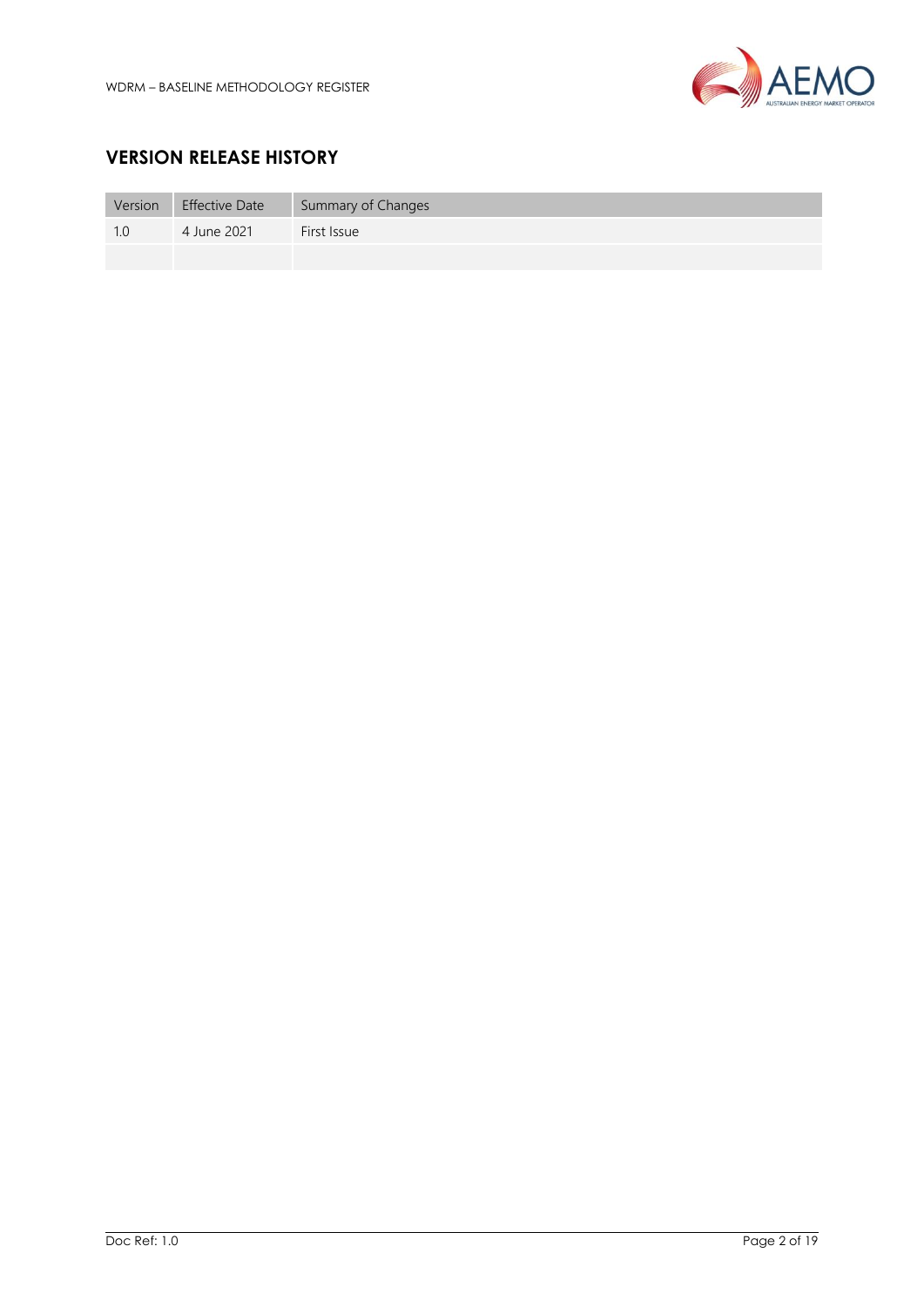

# **VERSION RELEASE HISTORY**

| Version | <b>Effective Date</b> | Summary of Changes |
|---------|-----------------------|--------------------|
|         | 4 June 2021           | First Issue        |
|         |                       |                    |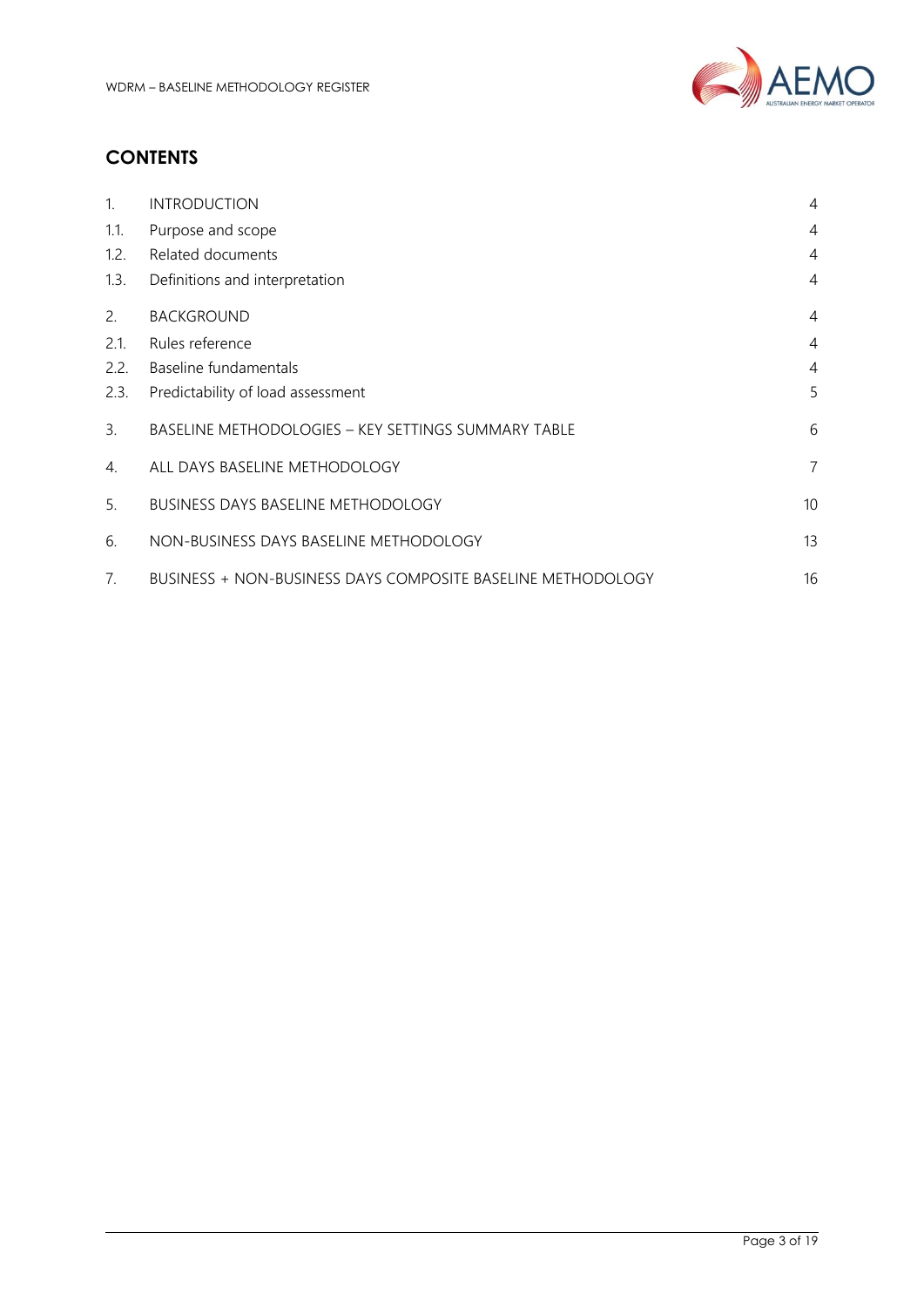

# **CONTENTS**

| $\mathbf{1}$ . | <b>INTRODUCTION</b>                                                | $\overline{4}$  |
|----------------|--------------------------------------------------------------------|-----------------|
| 1.1.           | Purpose and scope                                                  | $\overline{4}$  |
| 1.2.           | Related documents                                                  | 4               |
| 1.3.           | Definitions and interpretation                                     | 4               |
| 2.             | <b>BACKGROUND</b>                                                  | $\overline{4}$  |
| 2.1.           | Rules reference                                                    | $\overline{4}$  |
| 2.2.           | Baseline fundamentals                                              | $\overline{4}$  |
| 2.3.           | Predictability of load assessment                                  | 5               |
| 3.             | BASELINE METHODOLOGIES - KEY SETTINGS SUMMARY TABLE                | 6               |
| 4.             | ALL DAYS BASELINE METHODOLOGY                                      | $\overline{7}$  |
| 5.             | <b>BUSINESS DAYS BASELINE METHODOLOGY</b>                          | 10 <sup>°</sup> |
| 6.             | NON-BUSINESS DAYS BASELINE METHODOLOGY                             | 13              |
| 7 <sub>1</sub> | <b>BUSINESS + NON-BUSINESS DAYS COMPOSITE BASELINE METHODOLOGY</b> | 16              |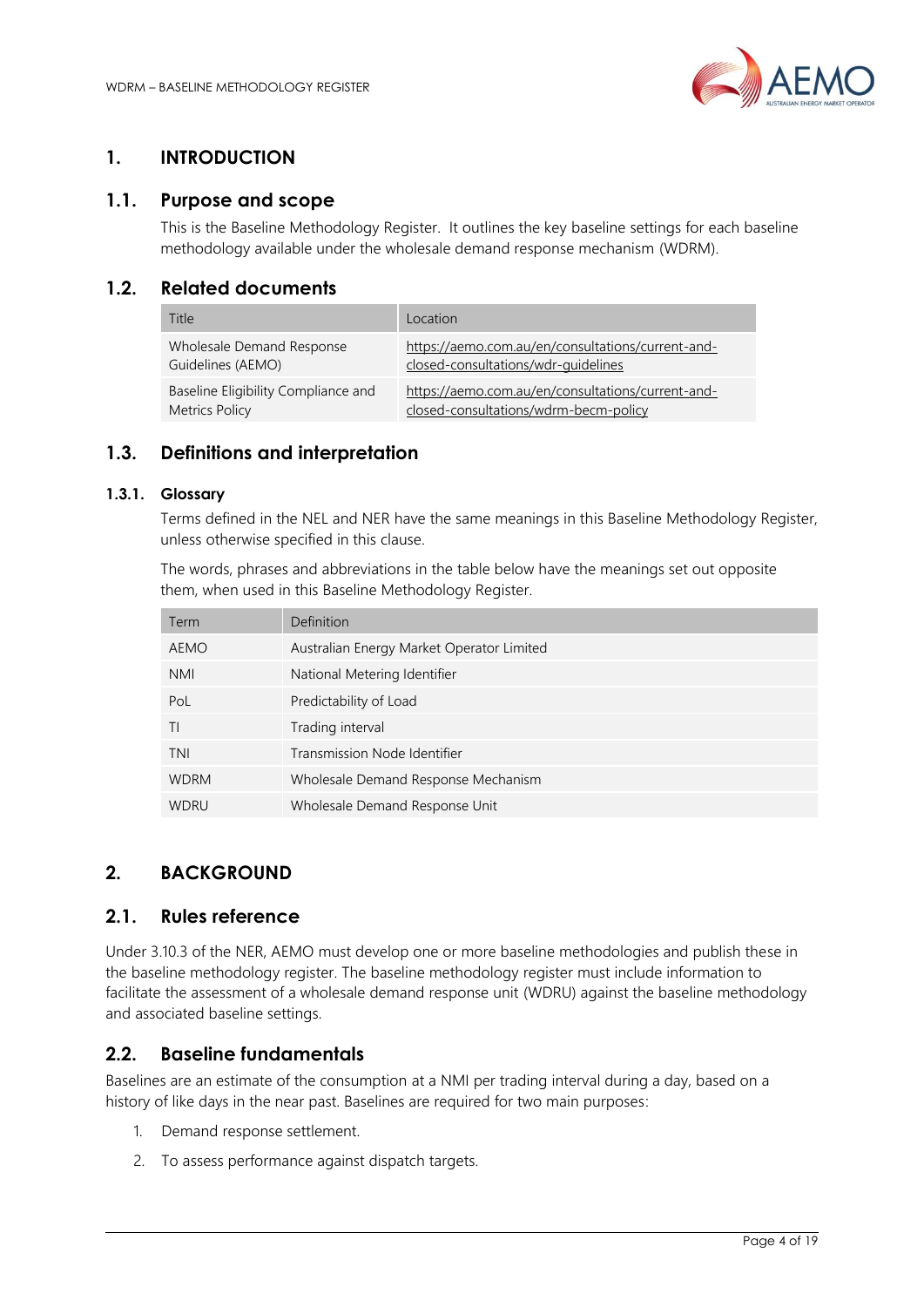

## <span id="page-3-0"></span>**1. INTRODUCTION**

#### <span id="page-3-1"></span>**1.1. Purpose and scope**

This is the Baseline Methodology Register. It outlines the key baseline settings for each baseline methodology available under the wholesale demand response mechanism (WDRM).

### <span id="page-3-2"></span>**1.2. Related documents**

| Title                               | Location                                          |
|-------------------------------------|---------------------------------------------------|
| Wholesale Demand Response           | https://aemo.com.au/en/consultations/current-and- |
| Guidelines (AEMO)                   | closed-consultations/wdr-quidelines               |
| Baseline Eligibility Compliance and | https://aemo.com.au/en/consultations/current-and- |
| <b>Metrics Policy</b>               | closed-consultations/wdrm-becm-policy             |

#### <span id="page-3-3"></span>**1.3. Definitions and interpretation**

#### **1.3.1. Glossary**

Terms defined in the NEL and NER have the same meanings in this Baseline Methodology Register, unless otherwise specified in this clause.

The words, phrases and abbreviations in the table below have the meanings set out opposite them, when used in this Baseline Methodology Register.

| Term        | Definition                                |
|-------------|-------------------------------------------|
| <b>AEMO</b> | Australian Energy Market Operator Limited |
| <b>NMI</b>  | National Metering Identifier              |
| PoL         | Predictability of Load                    |
| ΤI          | Trading interval                          |
| <b>TNI</b>  | Transmission Node Identifier              |
| <b>WDRM</b> | Wholesale Demand Response Mechanism       |
| <b>WDRU</b> | Wholesale Demand Response Unit            |

## <span id="page-3-4"></span>**2. BACKGROUND**

#### <span id="page-3-5"></span>**2.1. Rules reference**

Under 3.10.3 of the NER, AEMO must develop one or more baseline methodologies and publish these in the baseline methodology register. The baseline methodology register must include information to facilitate the assessment of a wholesale demand response unit (WDRU) against the baseline methodology and associated baseline settings.

## <span id="page-3-6"></span>**2.2. Baseline fundamentals**

Baselines are an estimate of the consumption at a NMI per trading interval during a day, based on a history of like days in the near past. Baselines are required for two main purposes:

- 1. Demand response settlement.
- 2. To assess performance against dispatch targets.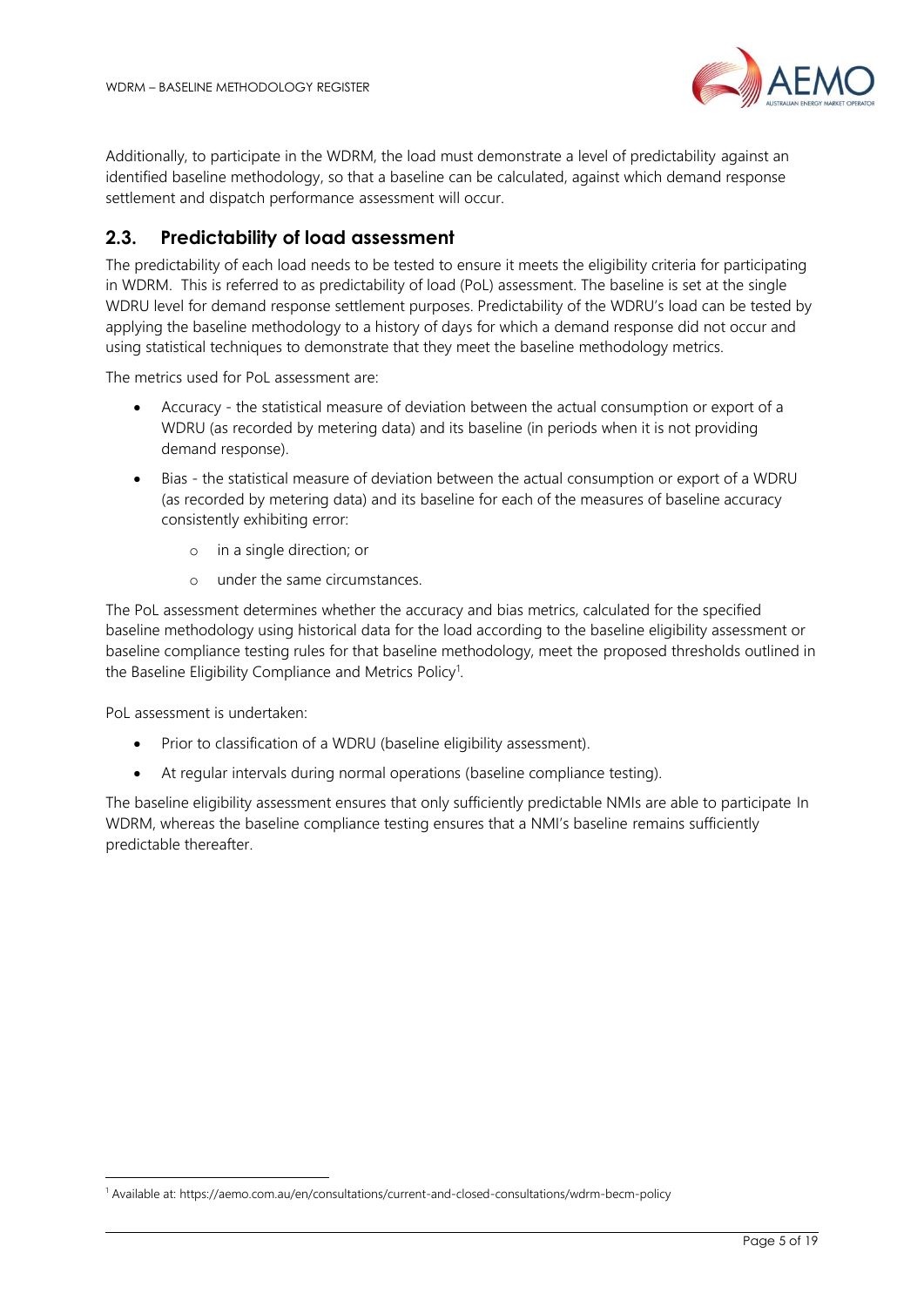

Additionally, to participate in the WDRM, the load must demonstrate a level of predictability against an identified baseline methodology, so that a baseline can be calculated, against which demand response settlement and dispatch performance assessment will occur.

## <span id="page-4-0"></span>**2.3. Predictability of load assessment**

The predictability of each load needs to be tested to ensure it meets the eligibility criteria for participating in WDRM. This is referred to as predictability of load (PoL) assessment. The baseline is set at the single WDRU level for demand response settlement purposes. Predictability of the WDRU's load can be tested by applying the baseline methodology to a history of days for which a demand response did not occur and using statistical techniques to demonstrate that they meet the baseline methodology metrics.

The metrics used for PoL assessment are:

- Accuracy the statistical measure of deviation between the actual consumption or export of a WDRU (as recorded by metering data) and its baseline (in periods when it is not providing demand response).
- Bias the statistical measure of deviation between the actual consumption or export of a WDRU (as recorded by metering data) and its baseline for each of the measures of baseline accuracy consistently exhibiting error:
	- o in a single direction; or
	- o under the same circumstances.

The PoL assessment determines whether the accuracy and bias metrics, calculated for the specified baseline methodology using historical data for the load according to the baseline eligibility assessment or baseline compliance testing rules for that baseline methodology, meet the proposed thresholds outlined in the Baseline Eligibility Compliance and Metrics Policy<sup>1</sup>.

PoL assessment is undertaken:

- Prior to classification of a WDRU (baseline eligibility assessment).
- At regular intervals during normal operations (baseline compliance testing).

The baseline eligibility assessment ensures that only sufficiently predictable NMIs are able to participate In WDRM, whereas the baseline compliance testing ensures that a NMI's baseline remains sufficiently predictable thereafter.

<sup>1</sup> Available at: https://aemo.com.au/en/consultations/current-and-closed-consultations/wdrm-becm-policy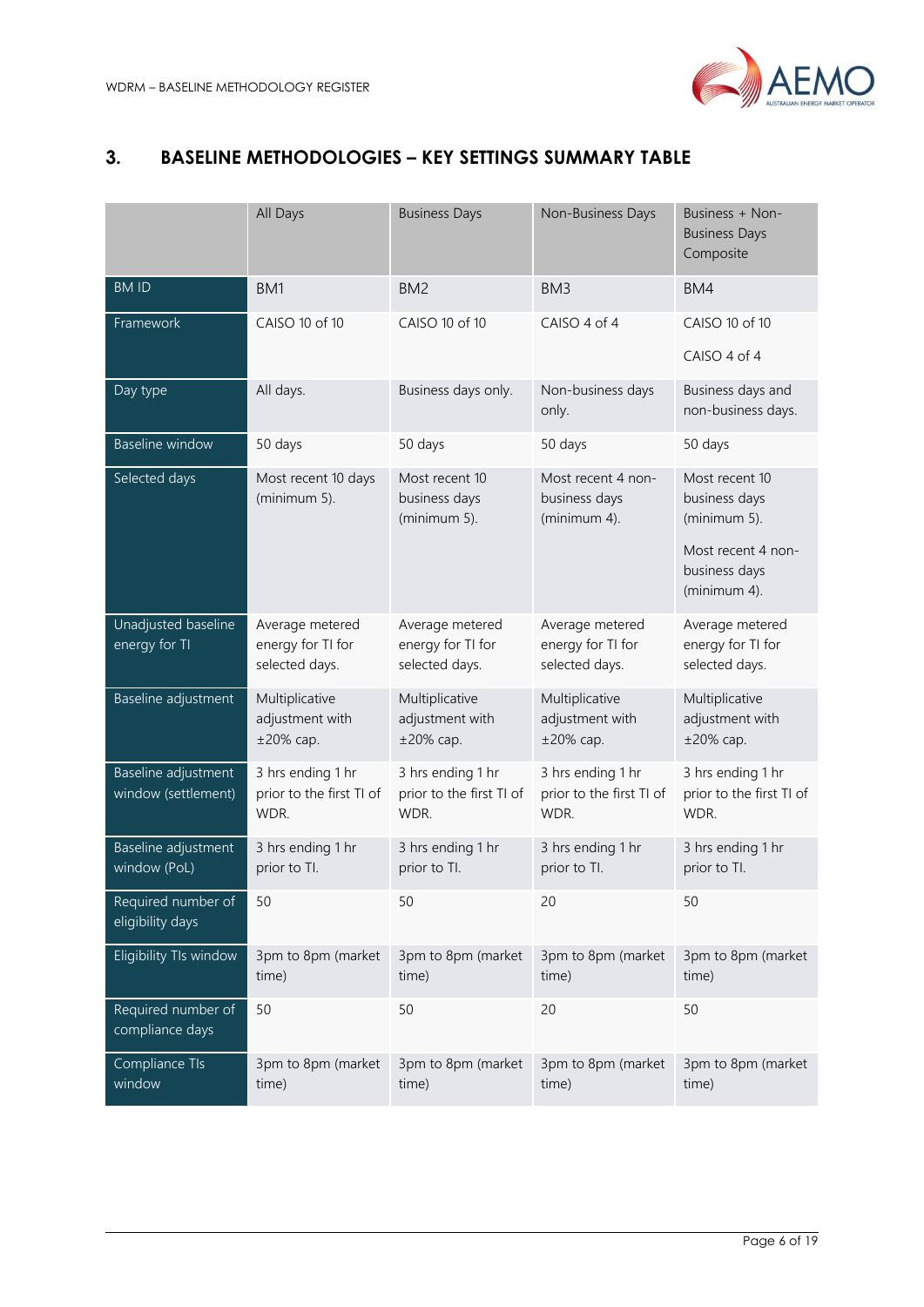

# <span id="page-5-0"></span>**3. BASELINE METHODOLOGIES – KEY SETTINGS SUMMARY TABLE**

|                                            | All Days                                               | <b>Business Days</b>                                   | Non-Business Days                                      | Business + Non-<br><b>Business Days</b><br>Composite                                                   |
|--------------------------------------------|--------------------------------------------------------|--------------------------------------------------------|--------------------------------------------------------|--------------------------------------------------------------------------------------------------------|
| <b>BMID</b>                                | BM1                                                    | BM <sub>2</sub>                                        | BM <sub>3</sub>                                        | BM4                                                                                                    |
| Framework                                  | CAISO 10 of 10                                         | CAISO 10 of 10                                         | CAISO 4 of 4                                           | CAISO 10 of 10<br>CAISO 4 of 4                                                                         |
| Day type                                   | All days.                                              | Business days only.                                    | Non-business days<br>only.                             | Business days and<br>non-business days.                                                                |
| Baseline window                            | 50 days                                                | 50 days                                                | 50 days                                                | 50 days                                                                                                |
| Selected days                              | Most recent 10 days<br>(minimum 5).                    | Most recent 10<br>business days<br>(minimum 5).        | Most recent 4 non-<br>business days<br>(minimum 4).    | Most recent 10<br>business days<br>(minimum 5).<br>Most recent 4 non-<br>business days<br>(minimum 4). |
| Unadjusted baseline                        |                                                        |                                                        |                                                        |                                                                                                        |
| energy for TI                              | Average metered<br>energy for TI for<br>selected days. | Average metered<br>energy for TI for<br>selected days. | Average metered<br>energy for TI for<br>selected days. | Average metered<br>energy for TI for<br>selected days.                                                 |
| Baseline adjustment                        | Multiplicative<br>adjustment with<br>$±20\%$ cap.      | Multiplicative<br>adjustment with<br>$±20\%$ cap.      | Multiplicative<br>adjustment with<br>$±20\%$ cap.      | Multiplicative<br>adjustment with<br>$±20\%$ cap.                                                      |
| Baseline adjustment<br>window (settlement) | 3 hrs ending 1 hr<br>prior to the first TI of<br>WDR.  | 3 hrs ending 1 hr<br>prior to the first TI of<br>WDR.  | 3 hrs ending 1 hr<br>prior to the first TI of<br>WDR.  | 3 hrs ending 1 hr<br>prior to the first TI of<br>WDR.                                                  |
| Baseline adjustment<br>window (PoL)        | 3 hrs ending 1 hr<br>prior to Tl.                      | 3 hrs ending 1 hr<br>prior to Tl.                      | 3 hrs ending 1 hr<br>prior to Tl.                      | 3 hrs ending 1 hr<br>prior to Tl.                                                                      |
| Required number of<br>eligibility days     | 50                                                     | 50                                                     | 20                                                     | 50                                                                                                     |
| Eligibility TIs window                     | 3pm to 8pm (market<br>time)                            | 3pm to 8pm (market<br>time)                            | 3pm to 8pm (market<br>time)                            | 3pm to 8pm (market<br>time)                                                                            |
| Required number of<br>compliance days      | 50                                                     | 50                                                     | 20                                                     | 50                                                                                                     |
| Compliance TIs<br>window                   | 3pm to 8pm (market<br>time)                            | 3pm to 8pm (market<br>time)                            | 3pm to 8pm (market<br>time)                            | 3pm to 8pm (market<br>time)                                                                            |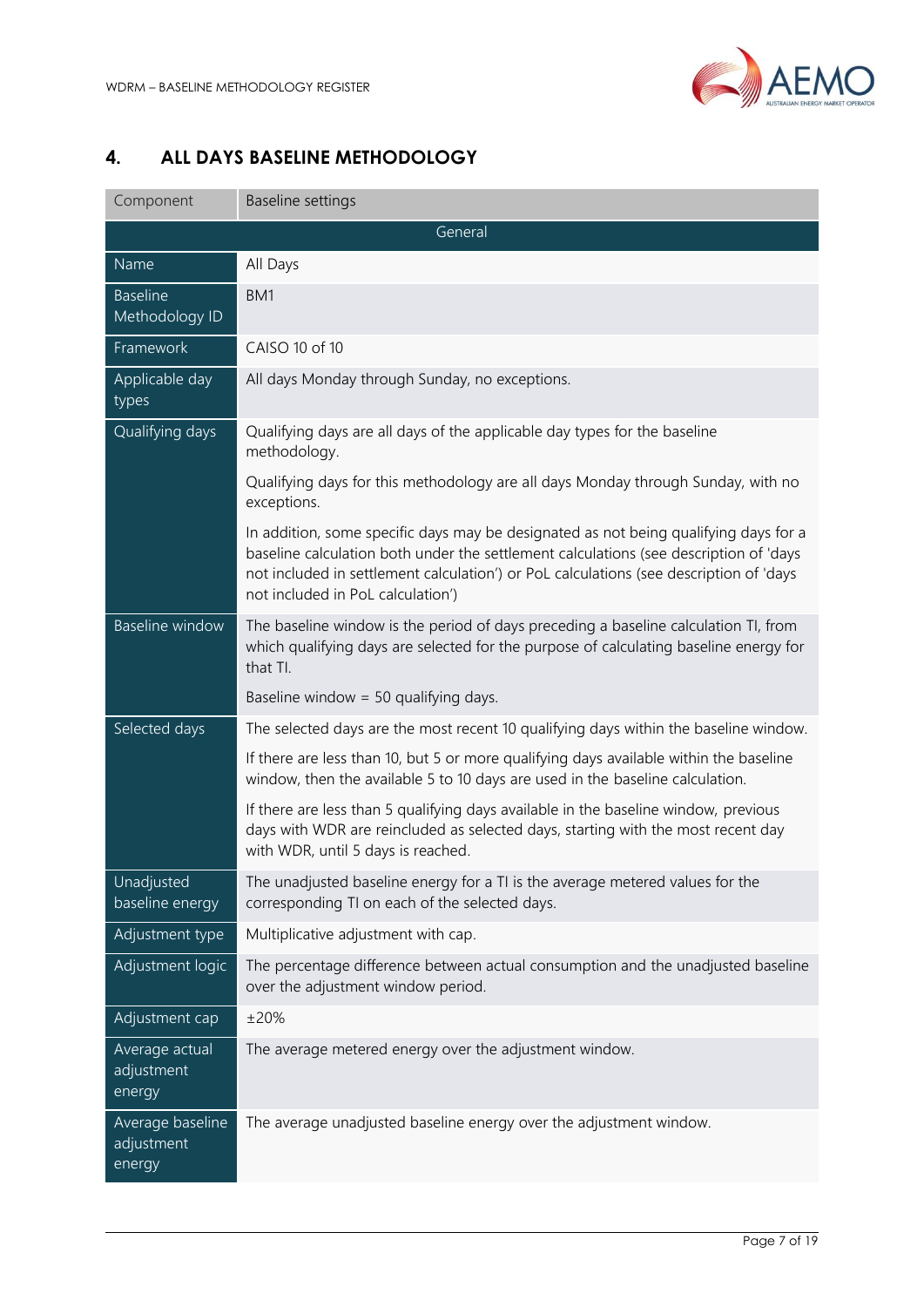

# <span id="page-6-0"></span>**4. ALL DAYS BASELINE METHODOLOGY**

| Component                                | Baseline settings                                                                                                                                                                                                                                                                                            |  |  |  |
|------------------------------------------|--------------------------------------------------------------------------------------------------------------------------------------------------------------------------------------------------------------------------------------------------------------------------------------------------------------|--|--|--|
| General                                  |                                                                                                                                                                                                                                                                                                              |  |  |  |
| Name                                     | All Days                                                                                                                                                                                                                                                                                                     |  |  |  |
| <b>Baseline</b><br>Methodology ID        | BM <sub>1</sub>                                                                                                                                                                                                                                                                                              |  |  |  |
| Framework                                | CAISO 10 of 10                                                                                                                                                                                                                                                                                               |  |  |  |
| Applicable day<br>types                  | All days Monday through Sunday, no exceptions.                                                                                                                                                                                                                                                               |  |  |  |
| Qualifying days                          | Qualifying days are all days of the applicable day types for the baseline<br>methodology.                                                                                                                                                                                                                    |  |  |  |
|                                          | Qualifying days for this methodology are all days Monday through Sunday, with no<br>exceptions.                                                                                                                                                                                                              |  |  |  |
|                                          | In addition, some specific days may be designated as not being qualifying days for a<br>baseline calculation both under the settlement calculations (see description of 'days<br>not included in settlement calculation') or PoL calculations (see description of 'days<br>not included in PoL calculation') |  |  |  |
| <b>Baseline window</b>                   | The baseline window is the period of days preceding a baseline calculation TI, from<br>which qualifying days are selected for the purpose of calculating baseline energy for<br>that TI.                                                                                                                     |  |  |  |
|                                          | Baseline window = 50 qualifying days.                                                                                                                                                                                                                                                                        |  |  |  |
| Selected days                            | The selected days are the most recent 10 qualifying days within the baseline window.                                                                                                                                                                                                                         |  |  |  |
|                                          | If there are less than 10, but 5 or more qualifying days available within the baseline<br>window, then the available 5 to 10 days are used in the baseline calculation.                                                                                                                                      |  |  |  |
|                                          | If there are less than 5 qualifying days available in the baseline window, previous<br>days with WDR are reincluded as selected days, starting with the most recent day<br>with WDR, until 5 days is reached.                                                                                                |  |  |  |
| Unadjusted<br>baseline energy            | The unadjusted baseline energy for a TI is the average metered values for the<br>corresponding TI on each of the selected days.                                                                                                                                                                              |  |  |  |
| Adjustment type                          | Multiplicative adjustment with cap.                                                                                                                                                                                                                                                                          |  |  |  |
| Adjustment logic                         | The percentage difference between actual consumption and the unadjusted baseline<br>over the adjustment window period.                                                                                                                                                                                       |  |  |  |
| Adjustment cap                           | ±20%                                                                                                                                                                                                                                                                                                         |  |  |  |
| Average actual<br>adjustment<br>energy   | The average metered energy over the adjustment window.                                                                                                                                                                                                                                                       |  |  |  |
| Average baseline<br>adjustment<br>energy | The average unadjusted baseline energy over the adjustment window.                                                                                                                                                                                                                                           |  |  |  |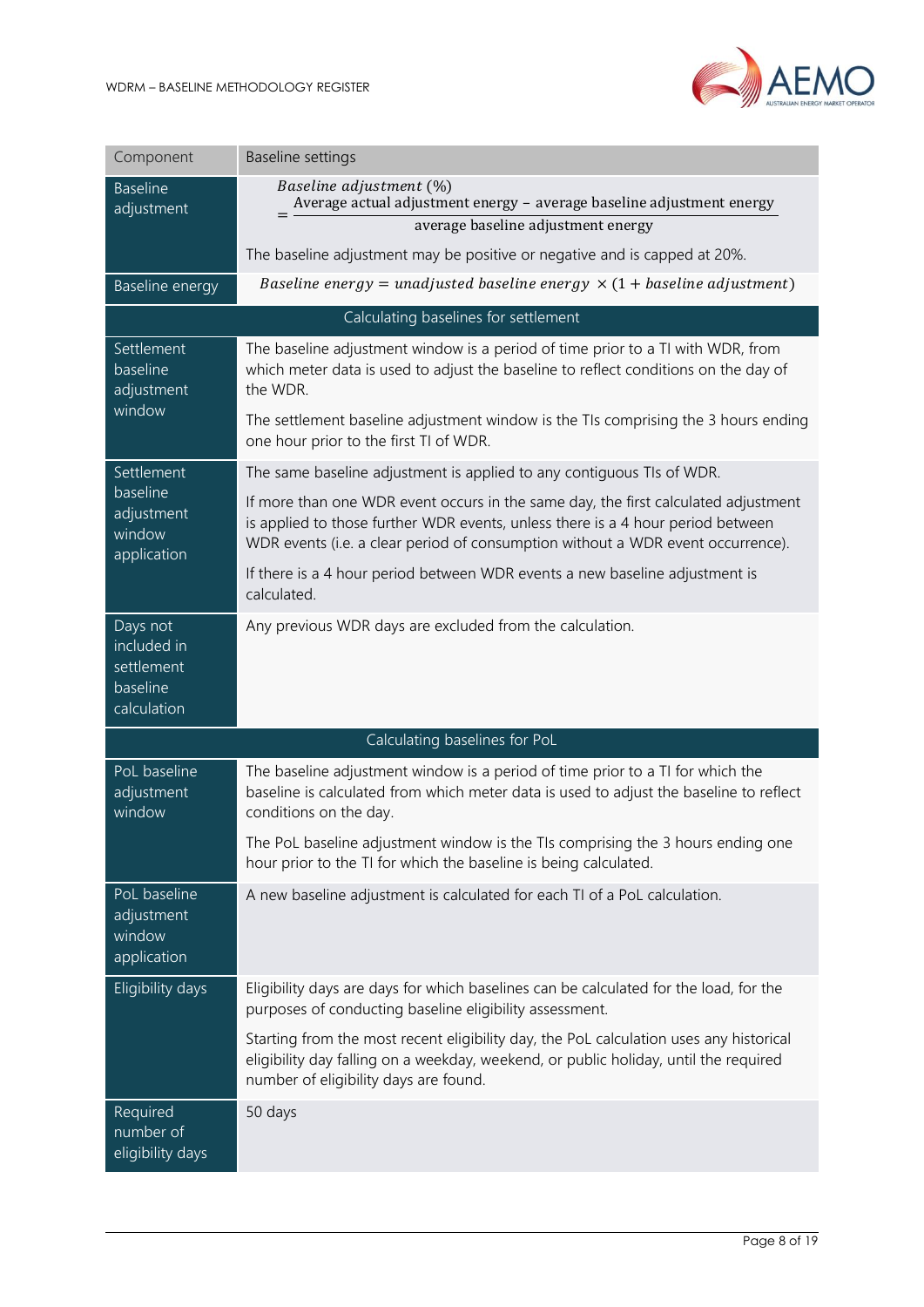

| Component                                                        | <b>Baseline settings</b>                                                                                                                                                                                                                                 |
|------------------------------------------------------------------|----------------------------------------------------------------------------------------------------------------------------------------------------------------------------------------------------------------------------------------------------------|
| <b>Baseline</b><br>adjustment                                    | Baseline adjustment (%)<br>Average actual adjustment energy - average baseline adjustment energy<br>average baseline adjustment energy                                                                                                                   |
|                                                                  | The baseline adjustment may be positive or negative and is capped at 20%.                                                                                                                                                                                |
| Baseline energy                                                  | Baseline energy = unadjusted baseline energy $\times$ (1 + baseline adjustment)                                                                                                                                                                          |
|                                                                  | Calculating baselines for settlement                                                                                                                                                                                                                     |
| Settlement<br>baseline<br>adjustment                             | The baseline adjustment window is a period of time prior to a TI with WDR, from<br>which meter data is used to adjust the baseline to reflect conditions on the day of<br>the WDR.                                                                       |
| window                                                           | The settlement baseline adjustment window is the TIs comprising the 3 hours ending<br>one hour prior to the first TI of WDR.                                                                                                                             |
| Settlement                                                       | The same baseline adjustment is applied to any contiguous TIs of WDR.                                                                                                                                                                                    |
| baseline<br>adjustment<br>window<br>application                  | If more than one WDR event occurs in the same day, the first calculated adjustment<br>is applied to those further WDR events, unless there is a 4 hour period between<br>WDR events (i.e. a clear period of consumption without a WDR event occurrence). |
|                                                                  | If there is a 4 hour period between WDR events a new baseline adjustment is<br>calculated.                                                                                                                                                               |
| Days not<br>included in<br>settlement<br>baseline<br>calculation | Any previous WDR days are excluded from the calculation.                                                                                                                                                                                                 |
|                                                                  | Calculating baselines for PoL                                                                                                                                                                                                                            |
| PoL baseline<br>adjustment<br>window                             | The baseline adjustment window is a period of time prior to a TI for which the<br>baseline is calculated from which meter data is used to adjust the baseline to reflect<br>conditions on the day.                                                       |
|                                                                  | The PoL baseline adjustment window is the TIs comprising the 3 hours ending one<br>hour prior to the TI for which the baseline is being calculated.                                                                                                      |
| PoL baseline<br>adjustment<br>window<br>application              | A new baseline adjustment is calculated for each TI of a PoL calculation.                                                                                                                                                                                |
| Eligibility days                                                 | Eligibility days are days for which baselines can be calculated for the load, for the<br>purposes of conducting baseline eligibility assessment.                                                                                                         |
|                                                                  | Starting from the most recent eligibility day, the PoL calculation uses any historical<br>eligibility day falling on a weekday, weekend, or public holiday, until the required<br>number of eligibility days are found.                                  |
| Required<br>number of<br>eligibility days                        | 50 days                                                                                                                                                                                                                                                  |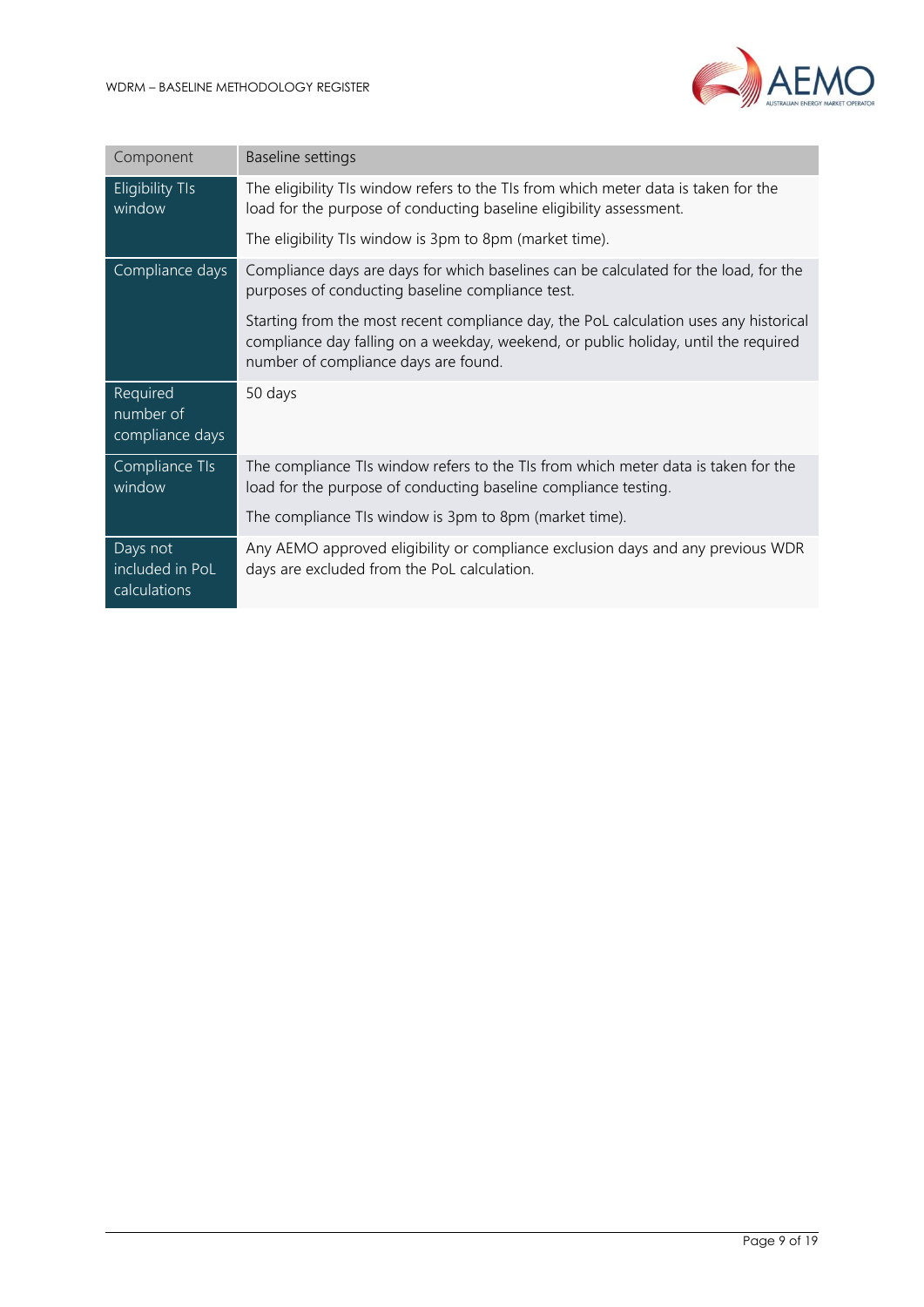

| Component                                   | Baseline settings                                                                                                                                                                                                    |
|---------------------------------------------|----------------------------------------------------------------------------------------------------------------------------------------------------------------------------------------------------------------------|
| <b>Eligibility TIs</b><br>window            | The eligibility TIs window refers to the TIs from which meter data is taken for the<br>load for the purpose of conducting baseline eligibility assessment.                                                           |
|                                             | The eligibility TIs window is 3pm to 8pm (market time).                                                                                                                                                              |
| Compliance days                             | Compliance days are days for which baselines can be calculated for the load, for the<br>purposes of conducting baseline compliance test.                                                                             |
|                                             | Starting from the most recent compliance day, the PoL calculation uses any historical<br>compliance day falling on a weekday, weekend, or public holiday, until the required<br>number of compliance days are found. |
| Required<br>number of<br>compliance days    | 50 days                                                                                                                                                                                                              |
| Compliance TIs<br>window                    | The compliance TIs window refers to the TIs from which meter data is taken for the<br>load for the purpose of conducting baseline compliance testing.                                                                |
|                                             | The compliance TIs window is 3pm to 8pm (market time).                                                                                                                                                               |
| Days not<br>included in PoL<br>calculations | Any AEMO approved eligibility or compliance exclusion days and any previous WDR<br>days are excluded from the PoL calculation.                                                                                       |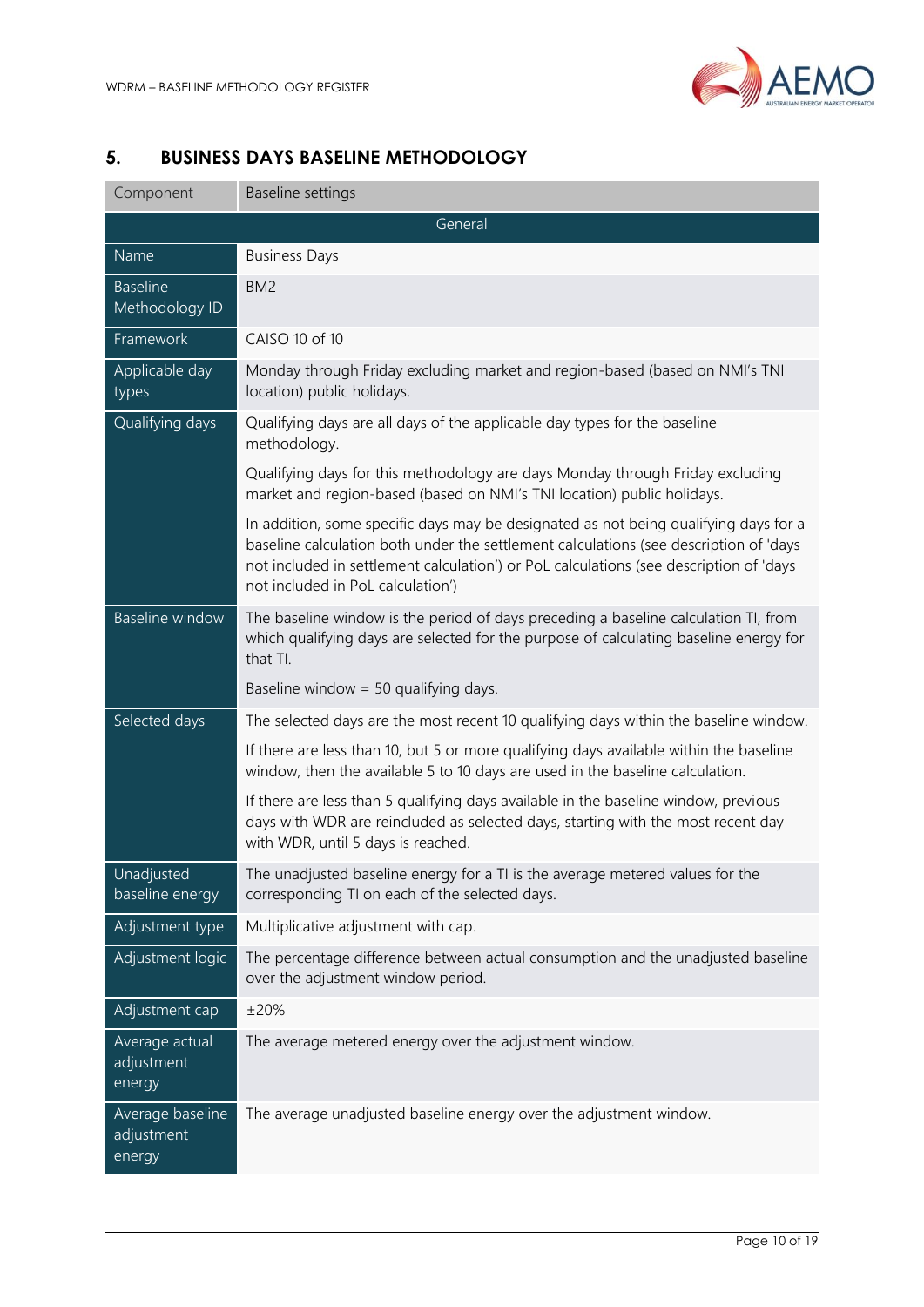

# <span id="page-9-0"></span>**5. BUSINESS DAYS BASELINE METHODOLOGY**

| Component                                | <b>Baseline settings</b>                                                                                                                                                                                                                                                                                     |  |
|------------------------------------------|--------------------------------------------------------------------------------------------------------------------------------------------------------------------------------------------------------------------------------------------------------------------------------------------------------------|--|
| General                                  |                                                                                                                                                                                                                                                                                                              |  |
| Name                                     | <b>Business Days</b>                                                                                                                                                                                                                                                                                         |  |
| <b>Baseline</b><br>Methodology ID        | BM <sub>2</sub>                                                                                                                                                                                                                                                                                              |  |
| Framework                                | CAISO 10 of 10                                                                                                                                                                                                                                                                                               |  |
| Applicable day<br>types                  | Monday through Friday excluding market and region-based (based on NMI's TNI<br>location) public holidays.                                                                                                                                                                                                    |  |
| Qualifying days                          | Qualifying days are all days of the applicable day types for the baseline<br>methodology.                                                                                                                                                                                                                    |  |
|                                          | Qualifying days for this methodology are days Monday through Friday excluding<br>market and region-based (based on NMI's TNI location) public holidays.                                                                                                                                                      |  |
|                                          | In addition, some specific days may be designated as not being qualifying days for a<br>baseline calculation both under the settlement calculations (see description of 'days<br>not included in settlement calculation') or PoL calculations (see description of 'days<br>not included in PoL calculation') |  |
| <b>Baseline window</b>                   | The baseline window is the period of days preceding a baseline calculation TI, from<br>which qualifying days are selected for the purpose of calculating baseline energy for<br>that TI.                                                                                                                     |  |
|                                          | Baseline window = $50$ qualifying days.                                                                                                                                                                                                                                                                      |  |
| Selected days                            | The selected days are the most recent 10 qualifying days within the baseline window.                                                                                                                                                                                                                         |  |
|                                          | If there are less than 10, but 5 or more qualifying days available within the baseline<br>window, then the available 5 to 10 days are used in the baseline calculation.                                                                                                                                      |  |
|                                          | If there are less than 5 qualifying days available in the baseline window, previous<br>days with WDR are reincluded as selected days, starting with the most recent day<br>with WDR, until 5 days is reached.                                                                                                |  |
| Unadjusted<br>baseline energy            | The unadjusted baseline energy for a TI is the average metered values for the<br>corresponding TI on each of the selected days.                                                                                                                                                                              |  |
| Adjustment type                          | Multiplicative adjustment with cap.                                                                                                                                                                                                                                                                          |  |
| Adjustment logic                         | The percentage difference between actual consumption and the unadjusted baseline<br>over the adjustment window period.                                                                                                                                                                                       |  |
| Adjustment cap                           | ±20%                                                                                                                                                                                                                                                                                                         |  |
| Average actual<br>adjustment<br>energy   | The average metered energy over the adjustment window.                                                                                                                                                                                                                                                       |  |
| Average baseline<br>adjustment<br>energy | The average unadjusted baseline energy over the adjustment window.                                                                                                                                                                                                                                           |  |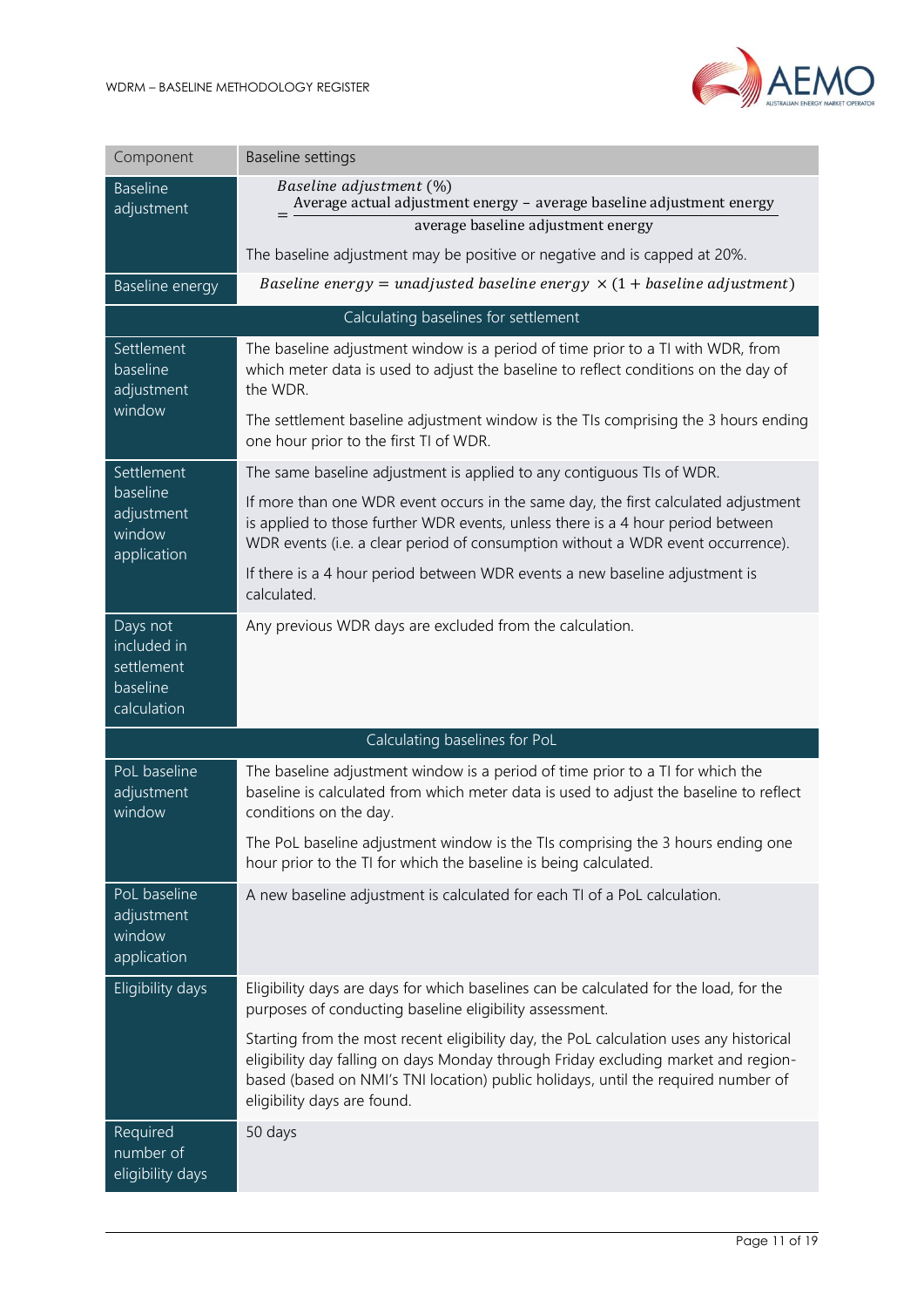

| Component                                                        | <b>Baseline settings</b>                                                                                                                                                                                                                                                                         |
|------------------------------------------------------------------|--------------------------------------------------------------------------------------------------------------------------------------------------------------------------------------------------------------------------------------------------------------------------------------------------|
| <b>Baseline</b><br>adjustment                                    | Baseline adjustment (%)<br>Average actual adjustment energy - average baseline adjustment energy<br>average baseline adjustment energy                                                                                                                                                           |
|                                                                  | The baseline adjustment may be positive or negative and is capped at 20%.                                                                                                                                                                                                                        |
| Baseline energy                                                  | Baseline energy = unadjusted baseline energy $\times$ (1 + baseline adjustment)                                                                                                                                                                                                                  |
|                                                                  | Calculating baselines for settlement                                                                                                                                                                                                                                                             |
| Settlement<br>baseline<br>adjustment                             | The baseline adjustment window is a period of time prior to a TI with WDR, from<br>which meter data is used to adjust the baseline to reflect conditions on the day of<br>the WDR.                                                                                                               |
| window                                                           | The settlement baseline adjustment window is the TIs comprising the 3 hours ending<br>one hour prior to the first TI of WDR.                                                                                                                                                                     |
| Settlement                                                       | The same baseline adjustment is applied to any contiguous TIs of WDR.                                                                                                                                                                                                                            |
| baseline<br>adjustment<br>window<br>application                  | If more than one WDR event occurs in the same day, the first calculated adjustment<br>is applied to those further WDR events, unless there is a 4 hour period between<br>WDR events (i.e. a clear period of consumption without a WDR event occurrence).                                         |
|                                                                  | If there is a 4 hour period between WDR events a new baseline adjustment is<br>calculated.                                                                                                                                                                                                       |
| Days not<br>included in<br>settlement<br>baseline<br>calculation | Any previous WDR days are excluded from the calculation.                                                                                                                                                                                                                                         |
|                                                                  | Calculating baselines for PoL                                                                                                                                                                                                                                                                    |
| PoL baseline<br>adjustment<br>window                             | The baseline adjustment window is a period of time prior to a TI for which the<br>baseline is calculated from which meter data is used to adjust the baseline to reflect<br>conditions on the day.                                                                                               |
|                                                                  | The PoL baseline adjustment window is the TIs comprising the 3 hours ending one<br>hour prior to the TI for which the baseline is being calculated.                                                                                                                                              |
| PoL baseline<br>adjustment<br>window<br>application              | A new baseline adjustment is calculated for each TI of a PoL calculation.                                                                                                                                                                                                                        |
| Eligibility days                                                 | Eligibility days are days for which baselines can be calculated for the load, for the<br>purposes of conducting baseline eligibility assessment.                                                                                                                                                 |
|                                                                  | Starting from the most recent eligibility day, the PoL calculation uses any historical<br>eligibility day falling on days Monday through Friday excluding market and region-<br>based (based on NMI's TNI location) public holidays, until the required number of<br>eligibility days are found. |
| Required<br>number of<br>eligibility days                        | 50 days                                                                                                                                                                                                                                                                                          |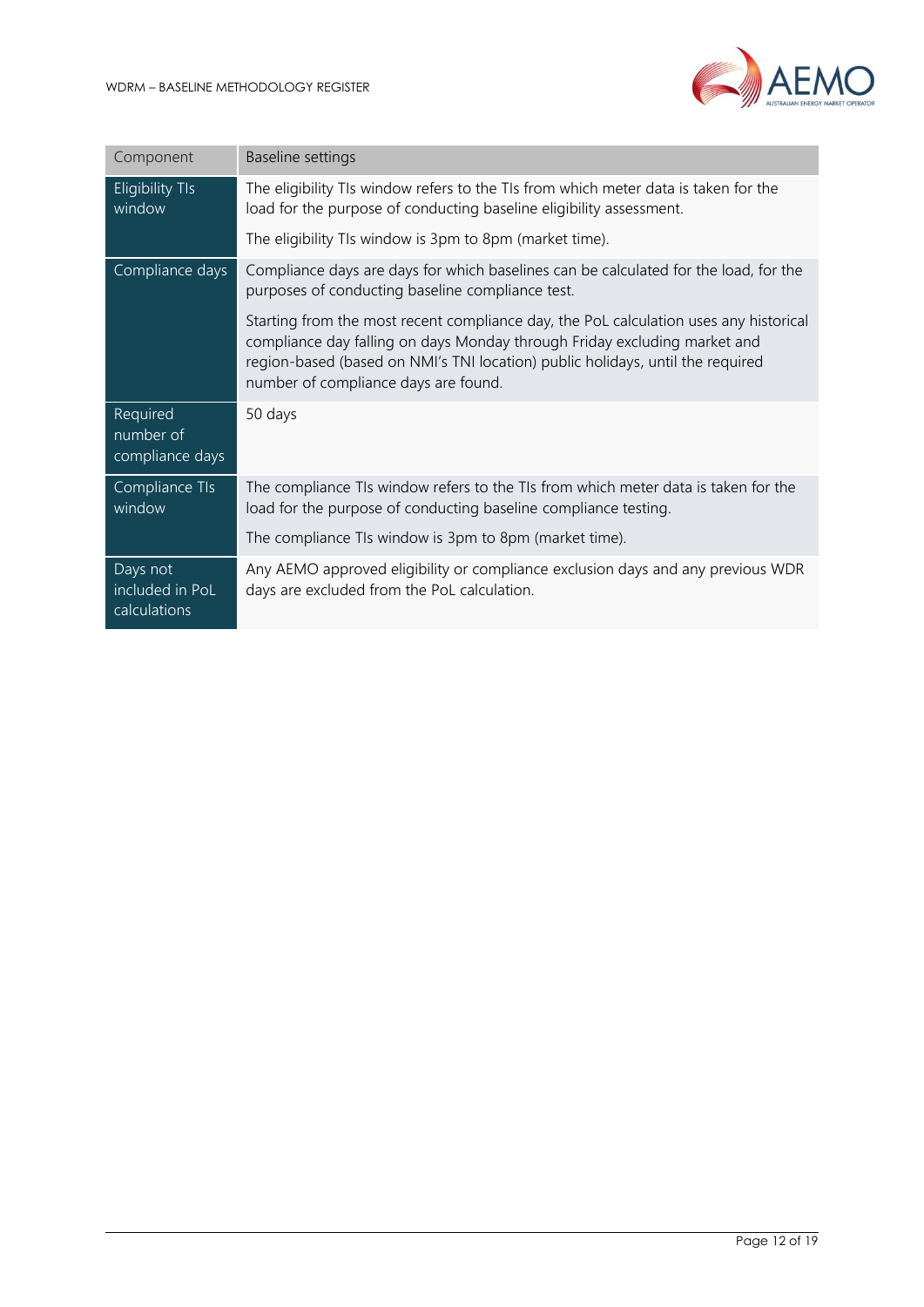

| Component                                   | Baseline settings                                                                                                                                                                                                                                                                            |
|---------------------------------------------|----------------------------------------------------------------------------------------------------------------------------------------------------------------------------------------------------------------------------------------------------------------------------------------------|
| <b>Eligibility TIs</b><br>window            | The eligibility TIs window refers to the TIs from which meter data is taken for the<br>load for the purpose of conducting baseline eligibility assessment.                                                                                                                                   |
|                                             | The eligibility TIs window is 3pm to 8pm (market time).                                                                                                                                                                                                                                      |
| Compliance days                             | Compliance days are days for which baselines can be calculated for the load, for the<br>purposes of conducting baseline compliance test.                                                                                                                                                     |
|                                             | Starting from the most recent compliance day, the PoL calculation uses any historical<br>compliance day falling on days Monday through Friday excluding market and<br>region-based (based on NMI's TNI location) public holidays, until the required<br>number of compliance days are found. |
| Required<br>number of<br>compliance days    | 50 days                                                                                                                                                                                                                                                                                      |
| Compliance TIs<br>window                    | The compliance TIs window refers to the TIs from which meter data is taken for the<br>load for the purpose of conducting baseline compliance testing.                                                                                                                                        |
|                                             | The compliance TIs window is 3pm to 8pm (market time).                                                                                                                                                                                                                                       |
| Days not<br>included in PoL<br>calculations | Any AEMO approved eligibility or compliance exclusion days and any previous WDR<br>days are excluded from the PoL calculation.                                                                                                                                                               |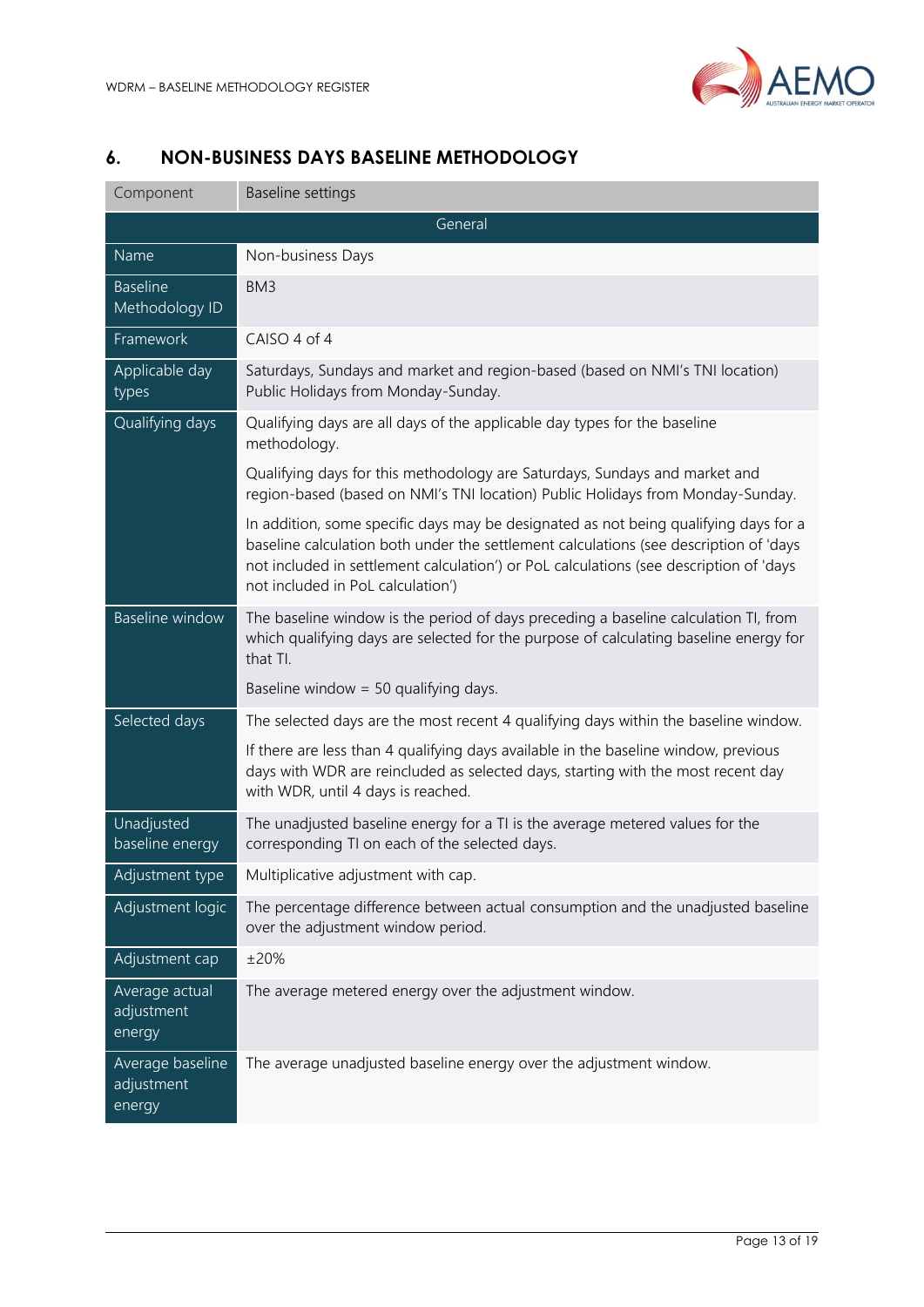

## <span id="page-12-0"></span>**6. NON-BUSINESS DAYS BASELINE METHODOLOGY**

| General<br>Name<br>Non-business Days<br><b>Baseline</b><br>BM3<br>Methodology ID<br>Framework<br>CAISO 4 of 4<br>Applicable day<br>Saturdays, Sundays and market and region-based (based on NMI's TNI location)<br>Public Holidays from Monday-Sunday.<br>types<br>Qualifying days<br>Qualifying days are all days of the applicable day types for the baseline<br>methodology.<br>Qualifying days for this methodology are Saturdays, Sundays and market and<br>region-based (based on NMI's TNI location) Public Holidays from Monday-Sunday.<br>In addition, some specific days may be designated as not being qualifying days for a<br>baseline calculation both under the settlement calculations (see description of 'days<br>not included in settlement calculation') or PoL calculations (see description of 'days<br>not included in PoL calculation')<br><b>Baseline</b> window<br>The baseline window is the period of days preceding a baseline calculation TI, from<br>which qualifying days are selected for the purpose of calculating baseline energy for<br>that TI.<br>Baseline window = $50$ qualifying days.<br>Selected days<br>The selected days are the most recent 4 qualifying days within the baseline window.<br>If there are less than 4 qualifying days available in the baseline window, previous<br>days with WDR are reincluded as selected days, starting with the most recent day<br>with WDR, until 4 days is reached.<br>Unadjusted<br>The unadjusted baseline energy for a TI is the average metered values for the<br>baseline energy<br>corresponding TI on each of the selected days.<br>Multiplicative adjustment with cap.<br>Adjustment type<br>Adjustment logic<br>The percentage difference between actual consumption and the unadjusted baseline<br>over the adjustment window period.<br>±20%<br>Adjustment cap<br>The average metered energy over the adjustment window.<br>Average actual<br>adjustment<br>energy<br>Average baseline<br>The average unadjusted baseline energy over the adjustment window.<br>adjustment<br>energy | Component | <b>Baseline settings</b> |  |  |
|---------------------------------------------------------------------------------------------------------------------------------------------------------------------------------------------------------------------------------------------------------------------------------------------------------------------------------------------------------------------------------------------------------------------------------------------------------------------------------------------------------------------------------------------------------------------------------------------------------------------------------------------------------------------------------------------------------------------------------------------------------------------------------------------------------------------------------------------------------------------------------------------------------------------------------------------------------------------------------------------------------------------------------------------------------------------------------------------------------------------------------------------------------------------------------------------------------------------------------------------------------------------------------------------------------------------------------------------------------------------------------------------------------------------------------------------------------------------------------------------------------------------------------------------------------------------------------------------------------------------------------------------------------------------------------------------------------------------------------------------------------------------------------------------------------------------------------------------------------------------------------------------------------------------------------------------------------------------------------------------------------------------------------------------------------------------------------------|-----------|--------------------------|--|--|
|                                                                                                                                                                                                                                                                                                                                                                                                                                                                                                                                                                                                                                                                                                                                                                                                                                                                                                                                                                                                                                                                                                                                                                                                                                                                                                                                                                                                                                                                                                                                                                                                                                                                                                                                                                                                                                                                                                                                                                                                                                                                                       |           |                          |  |  |
|                                                                                                                                                                                                                                                                                                                                                                                                                                                                                                                                                                                                                                                                                                                                                                                                                                                                                                                                                                                                                                                                                                                                                                                                                                                                                                                                                                                                                                                                                                                                                                                                                                                                                                                                                                                                                                                                                                                                                                                                                                                                                       |           |                          |  |  |
|                                                                                                                                                                                                                                                                                                                                                                                                                                                                                                                                                                                                                                                                                                                                                                                                                                                                                                                                                                                                                                                                                                                                                                                                                                                                                                                                                                                                                                                                                                                                                                                                                                                                                                                                                                                                                                                                                                                                                                                                                                                                                       |           |                          |  |  |
|                                                                                                                                                                                                                                                                                                                                                                                                                                                                                                                                                                                                                                                                                                                                                                                                                                                                                                                                                                                                                                                                                                                                                                                                                                                                                                                                                                                                                                                                                                                                                                                                                                                                                                                                                                                                                                                                                                                                                                                                                                                                                       |           |                          |  |  |
|                                                                                                                                                                                                                                                                                                                                                                                                                                                                                                                                                                                                                                                                                                                                                                                                                                                                                                                                                                                                                                                                                                                                                                                                                                                                                                                                                                                                                                                                                                                                                                                                                                                                                                                                                                                                                                                                                                                                                                                                                                                                                       |           |                          |  |  |
|                                                                                                                                                                                                                                                                                                                                                                                                                                                                                                                                                                                                                                                                                                                                                                                                                                                                                                                                                                                                                                                                                                                                                                                                                                                                                                                                                                                                                                                                                                                                                                                                                                                                                                                                                                                                                                                                                                                                                                                                                                                                                       |           |                          |  |  |
|                                                                                                                                                                                                                                                                                                                                                                                                                                                                                                                                                                                                                                                                                                                                                                                                                                                                                                                                                                                                                                                                                                                                                                                                                                                                                                                                                                                                                                                                                                                                                                                                                                                                                                                                                                                                                                                                                                                                                                                                                                                                                       |           |                          |  |  |
|                                                                                                                                                                                                                                                                                                                                                                                                                                                                                                                                                                                                                                                                                                                                                                                                                                                                                                                                                                                                                                                                                                                                                                                                                                                                                                                                                                                                                                                                                                                                                                                                                                                                                                                                                                                                                                                                                                                                                                                                                                                                                       |           |                          |  |  |
|                                                                                                                                                                                                                                                                                                                                                                                                                                                                                                                                                                                                                                                                                                                                                                                                                                                                                                                                                                                                                                                                                                                                                                                                                                                                                                                                                                                                                                                                                                                                                                                                                                                                                                                                                                                                                                                                                                                                                                                                                                                                                       |           |                          |  |  |
|                                                                                                                                                                                                                                                                                                                                                                                                                                                                                                                                                                                                                                                                                                                                                                                                                                                                                                                                                                                                                                                                                                                                                                                                                                                                                                                                                                                                                                                                                                                                                                                                                                                                                                                                                                                                                                                                                                                                                                                                                                                                                       |           |                          |  |  |
|                                                                                                                                                                                                                                                                                                                                                                                                                                                                                                                                                                                                                                                                                                                                                                                                                                                                                                                                                                                                                                                                                                                                                                                                                                                                                                                                                                                                                                                                                                                                                                                                                                                                                                                                                                                                                                                                                                                                                                                                                                                                                       |           |                          |  |  |
|                                                                                                                                                                                                                                                                                                                                                                                                                                                                                                                                                                                                                                                                                                                                                                                                                                                                                                                                                                                                                                                                                                                                                                                                                                                                                                                                                                                                                                                                                                                                                                                                                                                                                                                                                                                                                                                                                                                                                                                                                                                                                       |           |                          |  |  |
|                                                                                                                                                                                                                                                                                                                                                                                                                                                                                                                                                                                                                                                                                                                                                                                                                                                                                                                                                                                                                                                                                                                                                                                                                                                                                                                                                                                                                                                                                                                                                                                                                                                                                                                                                                                                                                                                                                                                                                                                                                                                                       |           |                          |  |  |
|                                                                                                                                                                                                                                                                                                                                                                                                                                                                                                                                                                                                                                                                                                                                                                                                                                                                                                                                                                                                                                                                                                                                                                                                                                                                                                                                                                                                                                                                                                                                                                                                                                                                                                                                                                                                                                                                                                                                                                                                                                                                                       |           |                          |  |  |
|                                                                                                                                                                                                                                                                                                                                                                                                                                                                                                                                                                                                                                                                                                                                                                                                                                                                                                                                                                                                                                                                                                                                                                                                                                                                                                                                                                                                                                                                                                                                                                                                                                                                                                                                                                                                                                                                                                                                                                                                                                                                                       |           |                          |  |  |
|                                                                                                                                                                                                                                                                                                                                                                                                                                                                                                                                                                                                                                                                                                                                                                                                                                                                                                                                                                                                                                                                                                                                                                                                                                                                                                                                                                                                                                                                                                                                                                                                                                                                                                                                                                                                                                                                                                                                                                                                                                                                                       |           |                          |  |  |
|                                                                                                                                                                                                                                                                                                                                                                                                                                                                                                                                                                                                                                                                                                                                                                                                                                                                                                                                                                                                                                                                                                                                                                                                                                                                                                                                                                                                                                                                                                                                                                                                                                                                                                                                                                                                                                                                                                                                                                                                                                                                                       |           |                          |  |  |
|                                                                                                                                                                                                                                                                                                                                                                                                                                                                                                                                                                                                                                                                                                                                                                                                                                                                                                                                                                                                                                                                                                                                                                                                                                                                                                                                                                                                                                                                                                                                                                                                                                                                                                                                                                                                                                                                                                                                                                                                                                                                                       |           |                          |  |  |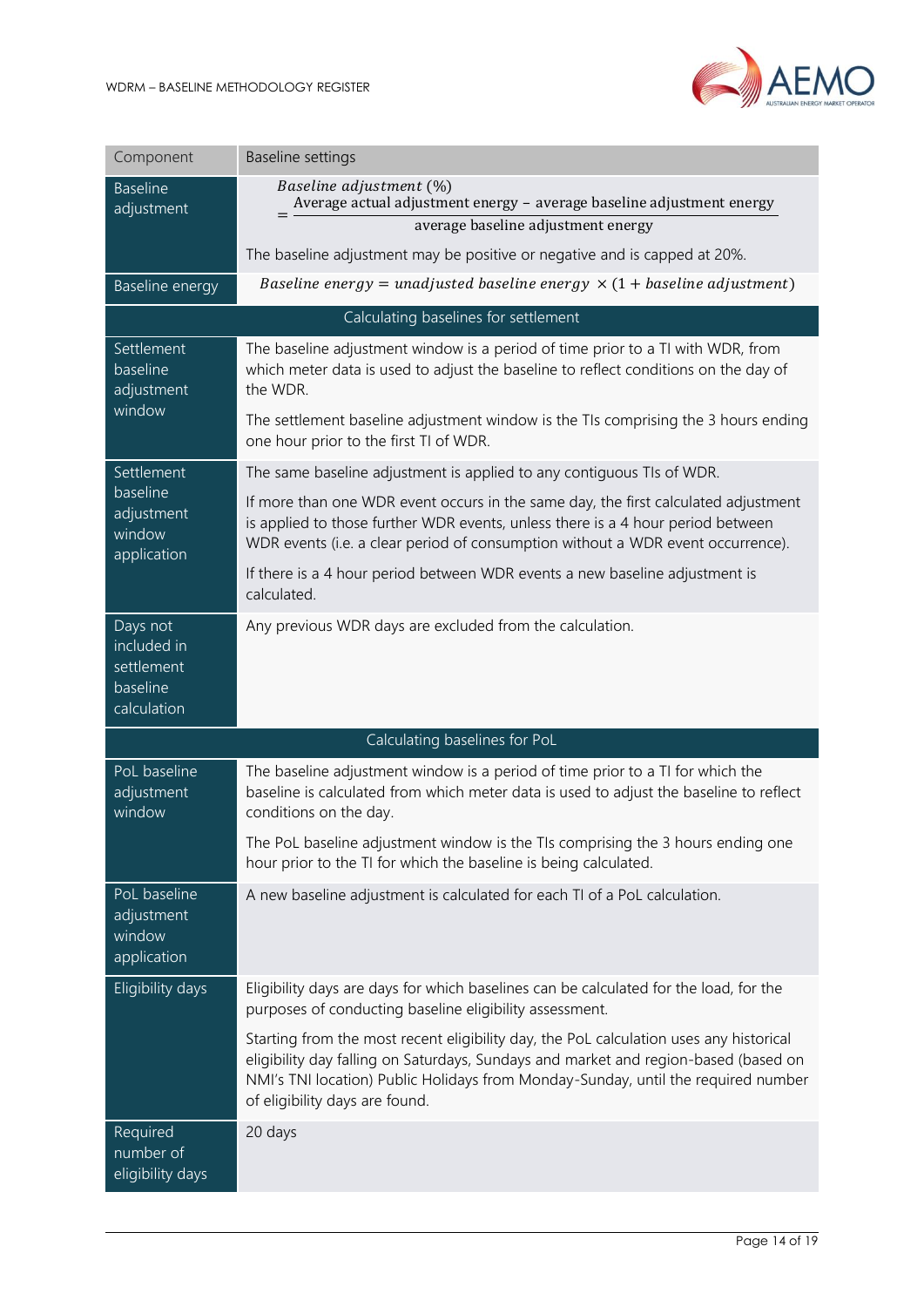

| Component                                                        | Baseline settings                                                                                                                                                                                                                                                                                    |
|------------------------------------------------------------------|------------------------------------------------------------------------------------------------------------------------------------------------------------------------------------------------------------------------------------------------------------------------------------------------------|
| <b>Baseline</b><br>adjustment                                    | Baseline adjustment (%)<br>Average actual adjustment energy - average baseline adjustment energy<br>average baseline adjustment energy                                                                                                                                                               |
|                                                                  | The baseline adjustment may be positive or negative and is capped at 20%.                                                                                                                                                                                                                            |
| Baseline energy                                                  | Baseline energy = unadjusted baseline energy $\times$ (1 + baseline adjustment)                                                                                                                                                                                                                      |
|                                                                  | Calculating baselines for settlement                                                                                                                                                                                                                                                                 |
| Settlement<br>baseline<br>adjustment<br>window                   | The baseline adjustment window is a period of time prior to a TI with WDR, from<br>which meter data is used to adjust the baseline to reflect conditions on the day of<br>the WDR.                                                                                                                   |
|                                                                  | The settlement baseline adjustment window is the TIs comprising the 3 hours ending<br>one hour prior to the first TI of WDR.                                                                                                                                                                         |
| Settlement                                                       | The same baseline adjustment is applied to any contiguous TIs of WDR.                                                                                                                                                                                                                                |
| baseline<br>adjustment<br>window<br>application                  | If more than one WDR event occurs in the same day, the first calculated adjustment<br>is applied to those further WDR events, unless there is a 4 hour period between<br>WDR events (i.e. a clear period of consumption without a WDR event occurrence).                                             |
|                                                                  | If there is a 4 hour period between WDR events a new baseline adjustment is<br>calculated.                                                                                                                                                                                                           |
| Days not<br>included in<br>settlement<br>baseline<br>calculation | Any previous WDR days are excluded from the calculation.                                                                                                                                                                                                                                             |
|                                                                  | Calculating baselines for PoL                                                                                                                                                                                                                                                                        |
| PoL baseline<br>adjustment<br>window                             | The baseline adjustment window is a period of time prior to a TI for which the<br>baseline is calculated from which meter data is used to adjust the baseline to reflect<br>conditions on the day.                                                                                                   |
|                                                                  | The PoL baseline adjustment window is the TIs comprising the 3 hours ending one<br>hour prior to the TI for which the baseline is being calculated.                                                                                                                                                  |
| PoL baseline<br>adjustment<br>window<br>application              | A new baseline adjustment is calculated for each TI of a PoL calculation.                                                                                                                                                                                                                            |
| Eligibility days                                                 | Eligibility days are days for which baselines can be calculated for the load, for the<br>purposes of conducting baseline eligibility assessment.                                                                                                                                                     |
|                                                                  | Starting from the most recent eligibility day, the PoL calculation uses any historical<br>eligibility day falling on Saturdays, Sundays and market and region-based (based on<br>NMI's TNI location) Public Holidays from Monday-Sunday, until the required number<br>of eligibility days are found. |
| Required<br>number of<br>eligibility days                        | 20 days                                                                                                                                                                                                                                                                                              |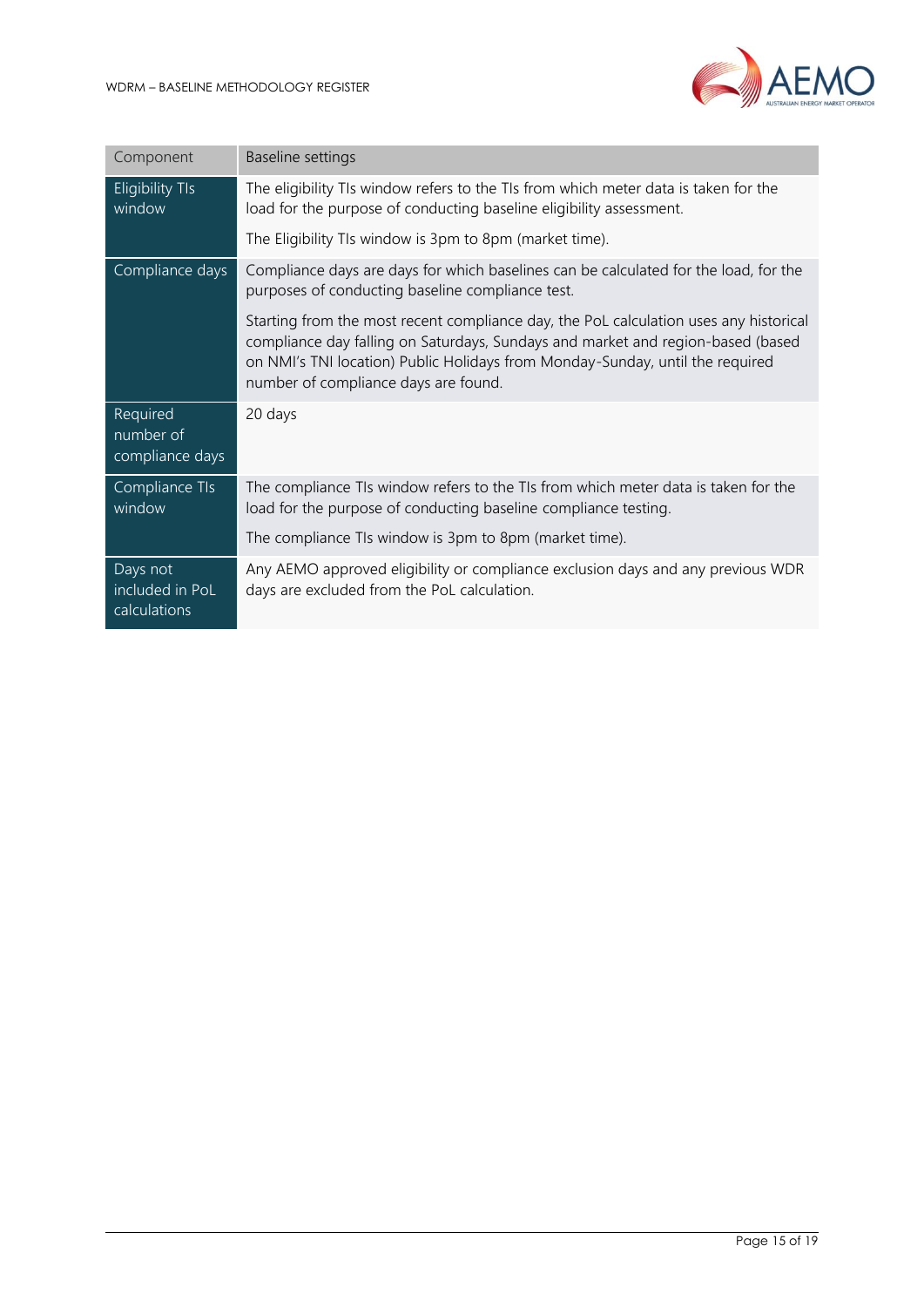

| Component                                   | Baseline settings                                                                                                                                                                                                                                                                                 |
|---------------------------------------------|---------------------------------------------------------------------------------------------------------------------------------------------------------------------------------------------------------------------------------------------------------------------------------------------------|
| <b>Eligibility TIs</b><br>window            | The eligibility TIs window refers to the TIs from which meter data is taken for the<br>load for the purpose of conducting baseline eligibility assessment.                                                                                                                                        |
|                                             | The Eligibility TIs window is 3pm to 8pm (market time).                                                                                                                                                                                                                                           |
| Compliance days                             | Compliance days are days for which baselines can be calculated for the load, for the<br>purposes of conducting baseline compliance test.                                                                                                                                                          |
|                                             | Starting from the most recent compliance day, the PoL calculation uses any historical<br>compliance day falling on Saturdays, Sundays and market and region-based (based<br>on NMI's TNI location) Public Holidays from Monday-Sunday, until the required<br>number of compliance days are found. |
| Required<br>number of<br>compliance days    | 20 days                                                                                                                                                                                                                                                                                           |
| Compliance TIs<br>window                    | The compliance TIs window refers to the TIs from which meter data is taken for the<br>load for the purpose of conducting baseline compliance testing.                                                                                                                                             |
|                                             | The compliance TIs window is 3pm to 8pm (market time).                                                                                                                                                                                                                                            |
| Days not<br>included in PoL<br>calculations | Any AEMO approved eligibility or compliance exclusion days and any previous WDR<br>days are excluded from the PoL calculation.                                                                                                                                                                    |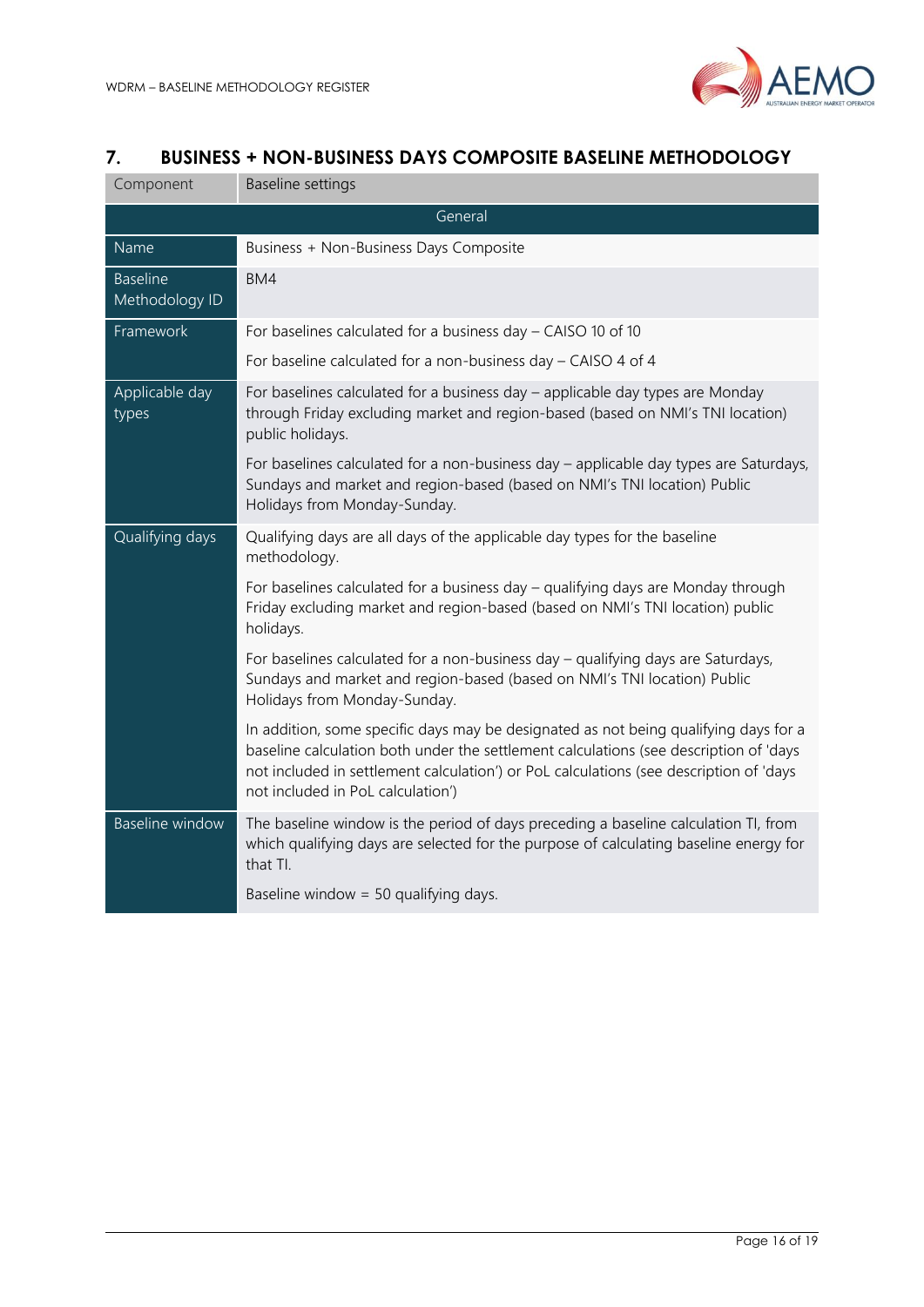

## <span id="page-15-0"></span>**7. BUSINESS + NON-BUSINESS DAYS COMPOSITE BASELINE METHODOLOGY**

| Component                         | Baseline settings                                                                                                                                                                                                                                                                                            |
|-----------------------------------|--------------------------------------------------------------------------------------------------------------------------------------------------------------------------------------------------------------------------------------------------------------------------------------------------------------|
|                                   | General                                                                                                                                                                                                                                                                                                      |
| Name                              | Business + Non-Business Days Composite                                                                                                                                                                                                                                                                       |
| <b>Baseline</b><br>Methodology ID | BM4                                                                                                                                                                                                                                                                                                          |
| Framework                         | For baselines calculated for a business day $-$ CAISO 10 of 10                                                                                                                                                                                                                                               |
|                                   | For baseline calculated for a non-business day - CAISO 4 of 4                                                                                                                                                                                                                                                |
| Applicable day<br>types           | For baselines calculated for a business day - applicable day types are Monday<br>through Friday excluding market and region-based (based on NMI's TNI location)<br>public holidays.                                                                                                                          |
|                                   | For baselines calculated for a non-business day - applicable day types are Saturdays,<br>Sundays and market and region-based (based on NMI's TNI location) Public<br>Holidays from Monday-Sunday.                                                                                                            |
| Qualifying days                   | Qualifying days are all days of the applicable day types for the baseline<br>methodology.                                                                                                                                                                                                                    |
|                                   | For baselines calculated for a business day - qualifying days are Monday through<br>Friday excluding market and region-based (based on NMI's TNI location) public<br>holidays.                                                                                                                               |
|                                   | For baselines calculated for a non-business day - qualifying days are Saturdays,<br>Sundays and market and region-based (based on NMI's TNI location) Public<br>Holidays from Monday-Sunday.                                                                                                                 |
|                                   | In addition, some specific days may be designated as not being qualifying days for a<br>baseline calculation both under the settlement calculations (see description of 'days<br>not included in settlement calculation') or PoL calculations (see description of 'days<br>not included in PoL calculation') |
| <b>Baseline window</b>            | The baseline window is the period of days preceding a baseline calculation TI, from<br>which qualifying days are selected for the purpose of calculating baseline energy for<br>that TI.                                                                                                                     |
|                                   | Baseline window = $50$ qualifying days.                                                                                                                                                                                                                                                                      |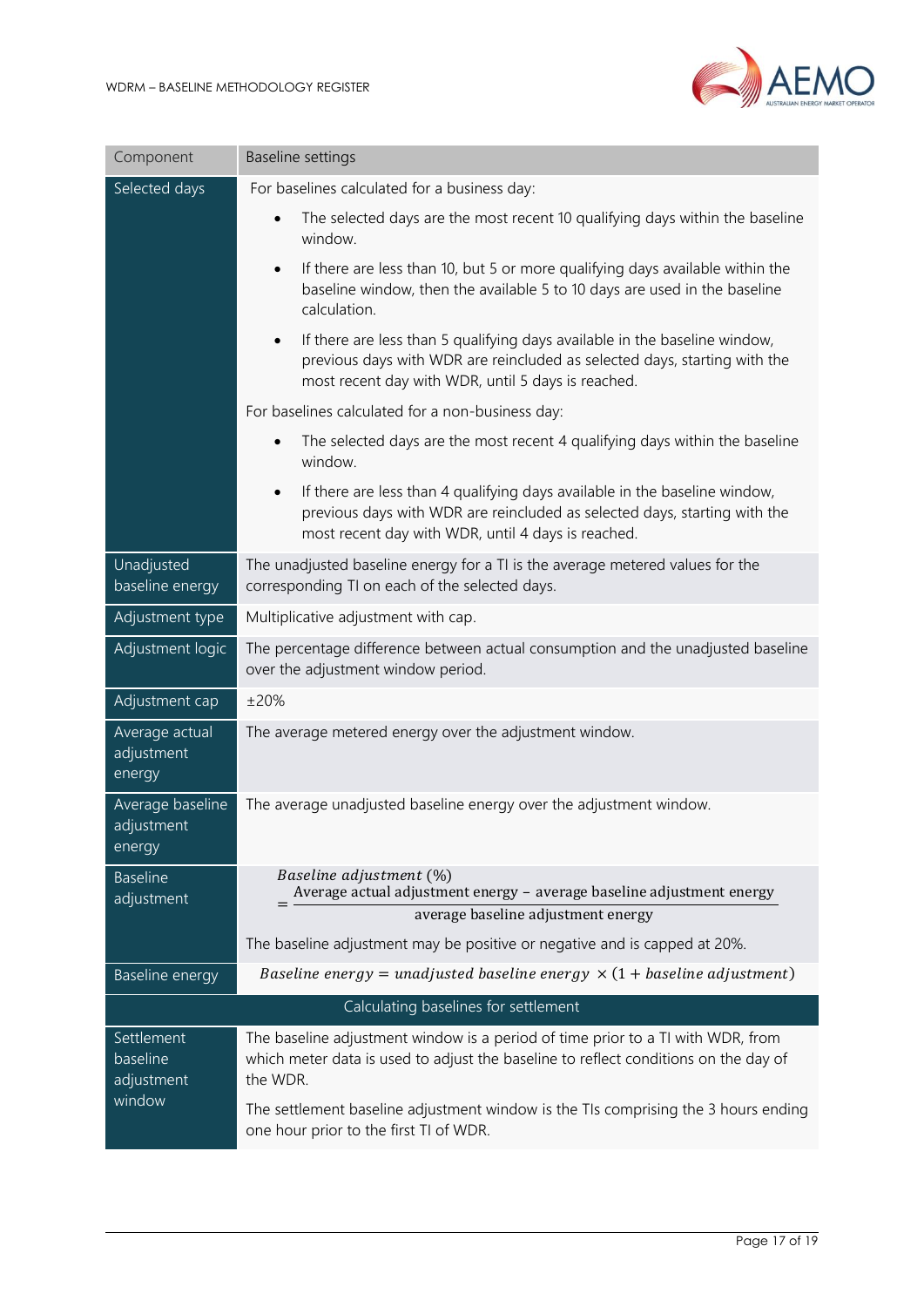

| Component                                      | <b>Baseline settings</b>                                                                                                                                                                                                   |
|------------------------------------------------|----------------------------------------------------------------------------------------------------------------------------------------------------------------------------------------------------------------------------|
| Selected days                                  | For baselines calculated for a business day:                                                                                                                                                                               |
|                                                | The selected days are the most recent 10 qualifying days within the baseline<br>$\bullet$<br>window.                                                                                                                       |
|                                                | If there are less than 10, but 5 or more qualifying days available within the<br>$\bullet$<br>baseline window, then the available 5 to 10 days are used in the baseline<br>calculation.                                    |
|                                                | If there are less than 5 qualifying days available in the baseline window,<br>$\bullet$<br>previous days with WDR are reincluded as selected days, starting with the<br>most recent day with WDR, until 5 days is reached. |
|                                                | For baselines calculated for a non-business day:                                                                                                                                                                           |
|                                                | The selected days are the most recent 4 qualifying days within the baseline<br>$\bullet$<br>window.                                                                                                                        |
|                                                | If there are less than 4 qualifying days available in the baseline window,<br>$\bullet$<br>previous days with WDR are reincluded as selected days, starting with the<br>most recent day with WDR, until 4 days is reached. |
| Unadjusted<br>baseline energy                  | The unadjusted baseline energy for a TI is the average metered values for the<br>corresponding TI on each of the selected days.                                                                                            |
| Adjustment type                                | Multiplicative adjustment with cap.                                                                                                                                                                                        |
| Adjustment logic                               | The percentage difference between actual consumption and the unadjusted baseline<br>over the adjustment window period.                                                                                                     |
| Adjustment cap                                 | ±20%                                                                                                                                                                                                                       |
| Average actual<br>adjustment<br>energy         | The average metered energy over the adjustment window.                                                                                                                                                                     |
| Average baseline<br>adjustment<br>energy       | The average unadjusted baseline energy over the adjustment window.                                                                                                                                                         |
| <b>Baseline</b><br>adjustment                  | Baseline adjustment (%)<br>Average actual adjustment energy - average baseline adjustment energy<br>average baseline adjustment energy                                                                                     |
|                                                | The baseline adjustment may be positive or negative and is capped at 20%.                                                                                                                                                  |
| Baseline energy                                | Baseline energy = unadjusted baseline energy $\times$ (1 + baseline adjustment)                                                                                                                                            |
|                                                | Calculating baselines for settlement                                                                                                                                                                                       |
| Settlement<br>baseline<br>adjustment<br>window | The baseline adjustment window is a period of time prior to a TI with WDR, from<br>which meter data is used to adjust the baseline to reflect conditions on the day of<br>the WDR.                                         |
|                                                | The settlement baseline adjustment window is the TIs comprising the 3 hours ending<br>one hour prior to the first TI of WDR.                                                                                               |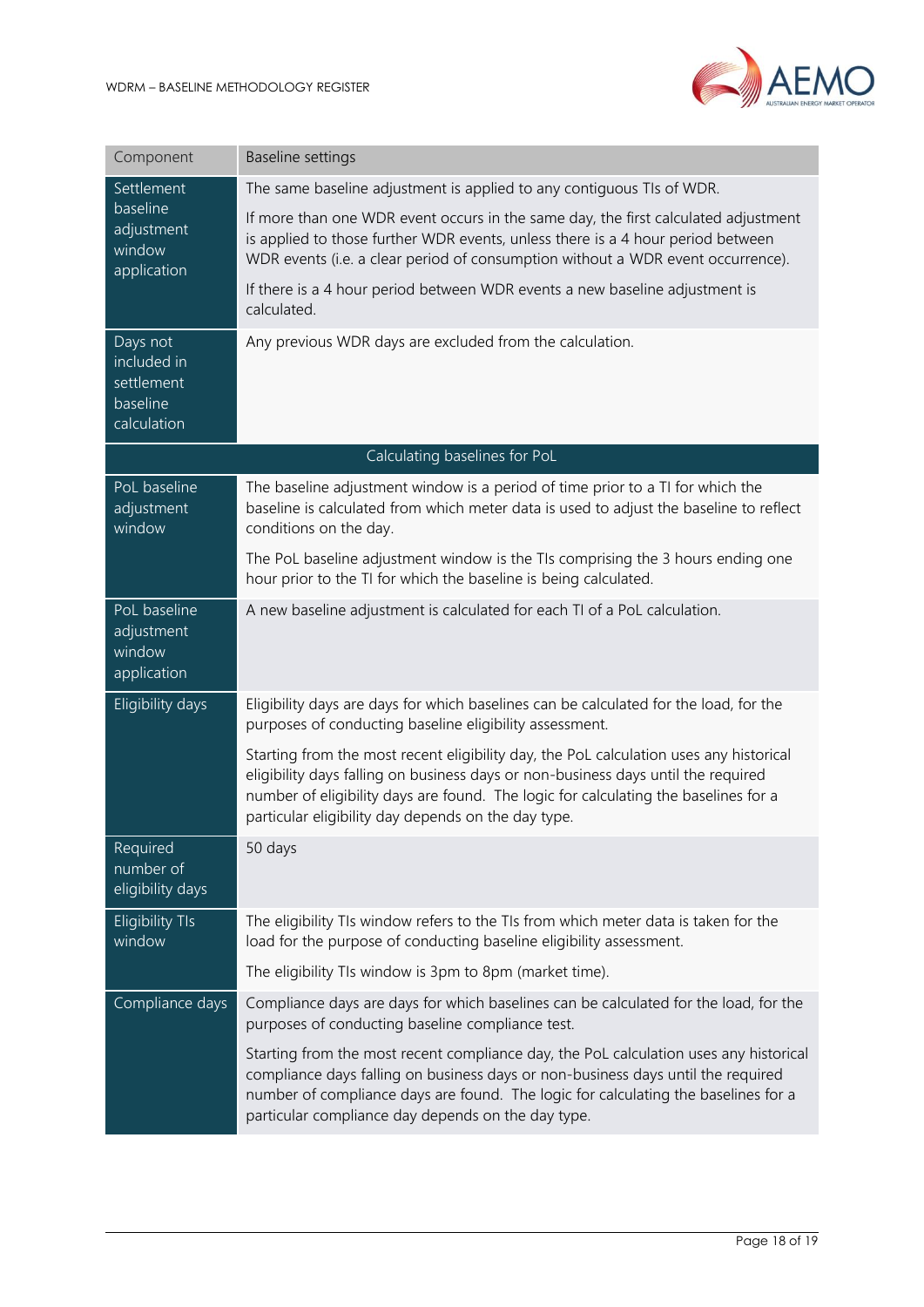

| Component                                                        | <b>Baseline settings</b>                                                                                                                                                                                                                                                                                                  |  |
|------------------------------------------------------------------|---------------------------------------------------------------------------------------------------------------------------------------------------------------------------------------------------------------------------------------------------------------------------------------------------------------------------|--|
| Settlement<br>baseline<br>adjustment<br>window<br>application    | The same baseline adjustment is applied to any contiguous TIs of WDR.                                                                                                                                                                                                                                                     |  |
|                                                                  | If more than one WDR event occurs in the same day, the first calculated adjustment<br>is applied to those further WDR events, unless there is a 4 hour period between<br>WDR events (i.e. a clear period of consumption without a WDR event occurrence).                                                                  |  |
|                                                                  | If there is a 4 hour period between WDR events a new baseline adjustment is<br>calculated.                                                                                                                                                                                                                                |  |
| Days not<br>included in<br>settlement<br>baseline<br>calculation | Any previous WDR days are excluded from the calculation.                                                                                                                                                                                                                                                                  |  |
| Calculating baselines for PoL                                    |                                                                                                                                                                                                                                                                                                                           |  |
| PoL baseline<br>adjustment<br>window                             | The baseline adjustment window is a period of time prior to a TI for which the<br>baseline is calculated from which meter data is used to adjust the baseline to reflect<br>conditions on the day.                                                                                                                        |  |
|                                                                  | The PoL baseline adjustment window is the TIs comprising the 3 hours ending one<br>hour prior to the TI for which the baseline is being calculated.                                                                                                                                                                       |  |
| PoL baseline<br>adjustment<br>window<br>application              | A new baseline adjustment is calculated for each TI of a PoL calculation.                                                                                                                                                                                                                                                 |  |
| Eligibility days                                                 | Eligibility days are days for which baselines can be calculated for the load, for the<br>purposes of conducting baseline eligibility assessment.                                                                                                                                                                          |  |
|                                                                  | Starting from the most recent eligibility day, the PoL calculation uses any historical<br>eligibility days falling on business days or non-business days until the required<br>number of eligibility days are found. The logic for calculating the baselines for a<br>particular eligibility day depends on the day type. |  |
| Required<br>number of<br>eligibility days                        | 50 days                                                                                                                                                                                                                                                                                                                   |  |
| <b>Eligibility TIs</b><br>window                                 | The eligibility TIs window refers to the TIs from which meter data is taken for the<br>load for the purpose of conducting baseline eligibility assessment.                                                                                                                                                                |  |
|                                                                  | The eligibility TIs window is 3pm to 8pm (market time).                                                                                                                                                                                                                                                                   |  |
| Compliance days                                                  | Compliance days are days for which baselines can be calculated for the load, for the<br>purposes of conducting baseline compliance test.                                                                                                                                                                                  |  |
|                                                                  | Starting from the most recent compliance day, the PoL calculation uses any historical<br>compliance days falling on business days or non-business days until the required<br>number of compliance days are found. The logic for calculating the baselines for a<br>particular compliance day depends on the day type.     |  |